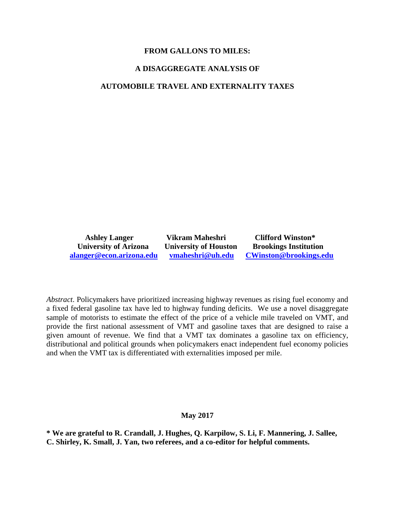# **FROM GALLONS TO MILES:**

# **A DISAGGREGATE ANALYSIS OF AUTOMOBILE TRAVEL AND EXTERNALITY TAXES**

 **Ashley Langer Vikram Maheshri Clifford Winston\* University of Arizona University of Houston Brookings Institution [alanger@econ.arizona.edu](mailto:alanger@econ.arizona.edu) [vmaheshri@uh.edu](mailto:vmaheshri@uh.edu) [CWinston@brookings.edu](mailto:CWinston@brookings.edu)**

*Abstract*. Policymakers have prioritized increasing highway revenues as rising fuel economy and a fixed federal gasoline tax have led to highway funding deficits. We use a novel disaggregate sample of motorists to estimate the effect of the price of a vehicle mile traveled on VMT, and provide the first national assessment of VMT and gasoline taxes that are designed to raise a given amount of revenue. We find that a VMT tax dominates a gasoline tax on efficiency, distributional and political grounds when policymakers enact independent fuel economy policies and when the VMT tax is differentiated with externalities imposed per mile.

# **May 2017**

**\* We are grateful to R. Crandall, J. Hughes, Q. Karpilow, S. Li, F. Mannering, J. Sallee, C. Shirley, K. Small, J. Yan, two referees, and a co-editor for helpful comments.**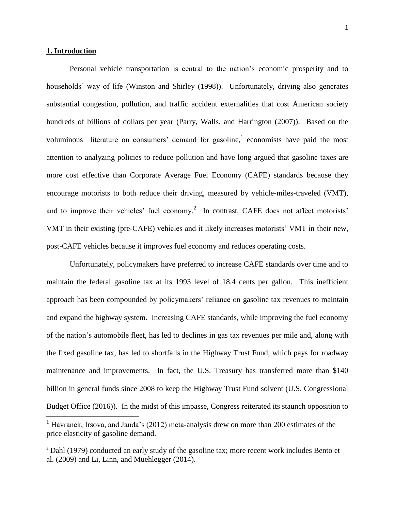## **1. Introduction**

 $\overline{\phantom{a}}$ 

Personal vehicle transportation is central to the nation's economic prosperity and to households' way of life (Winston and Shirley (1998)). Unfortunately, driving also generates substantial congestion, pollution, and traffic accident externalities that cost American society hundreds of billions of dollars per year (Parry, Walls, and Harrington (2007)). Based on the voluminous literature on consumers' demand for gasoline,<sup>1</sup> economists have paid the most attention to analyzing policies to reduce pollution and have long argued that gasoline taxes are more cost effective than Corporate Average Fuel Economy (CAFE) standards because they encourage motorists to both reduce their driving, measured by vehicle-miles-traveled (VMT), and to improve their vehicles' fuel economy.<sup>2</sup> In contrast, CAFE does not affect motorists' VMT in their existing (pre-CAFE) vehicles and it likely increases motorists' VMT in their new, post-CAFE vehicles because it improves fuel economy and reduces operating costs.

Unfortunately, policymakers have preferred to increase CAFE standards over time and to maintain the federal gasoline tax at its 1993 level of 18.4 cents per gallon. This inefficient approach has been compounded by policymakers' reliance on gasoline tax revenues to maintain and expand the highway system. Increasing CAFE standards, while improving the fuel economy of the nation's automobile fleet, has led to declines in gas tax revenues per mile and, along with the fixed gasoline tax, has led to shortfalls in the Highway Trust Fund, which pays for roadway maintenance and improvements. In fact, the U.S. Treasury has transferred more than \$140 billion in general funds since 2008 to keep the Highway Trust Fund solvent (U.S. Congressional Budget Office (2016)). In the midst of this impasse, Congress reiterated its staunch opposition to

<sup>&</sup>lt;sup>1</sup> Havranek, Irsova, and Janda's (2012) meta-analysis drew on more than 200 estimates of the price elasticity of gasoline demand.

<sup>&</sup>lt;sup>2</sup> Dahl (1979) conducted an early study of the gasoline tax; more recent work includes Bento et al. (2009) and Li, Linn, and Muehlegger (2014).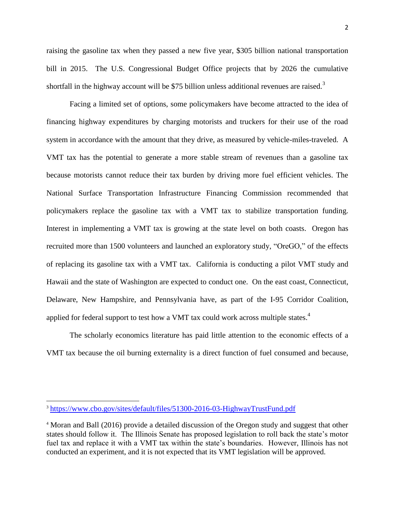raising the gasoline tax when they passed a new five year, \$305 billion national transportation bill in 2015. The U.S. Congressional Budget Office projects that by 2026 the cumulative shortfall in the highway account will be \$75 billion unless additional revenues are raised.<sup>3</sup>

Facing a limited set of options, some policymakers have become attracted to the idea of financing highway expenditures by charging motorists and truckers for their use of the road system in accordance with the amount that they drive, as measured by vehicle-miles-traveled. A VMT tax has the potential to generate a more stable stream of revenues than a gasoline tax because motorists cannot reduce their tax burden by driving more fuel efficient vehicles. The National Surface Transportation Infrastructure Financing Commission recommended that policymakers replace the gasoline tax with a VMT tax to stabilize transportation funding. Interest in implementing a VMT tax is growing at the state level on both coasts. Oregon has recruited more than 1500 volunteers and launched an exploratory study, "OreGO," of the effects of replacing its gasoline tax with a VMT tax. California is conducting a pilot VMT study and Hawaii and the state of Washington are expected to conduct one. On the east coast, Connecticut, Delaware, New Hampshire, and Pennsylvania have, as part of the I-95 Corridor Coalition, applied for federal support to test how a VMT tax could work across multiple states.<sup>4</sup>

The scholarly economics literature has paid little attention to the economic effects of a VMT tax because the oil burning externality is a direct function of fuel consumed and because,

 $\overline{a}$ 

<sup>&</sup>lt;sup>3</sup><https://www.cbo.gov/sites/default/files/51300-2016-03-HighwayTrustFund.pdf>

<sup>4</sup> Moran and Ball (2016) provide a detailed discussion of the Oregon study and suggest that other states should follow it. The Illinois Senate has proposed legislation to roll back the state's motor fuel tax and replace it with a VMT tax within the state's boundaries. However, Illinois has not conducted an experiment, and it is not expected that its VMT legislation will be approved.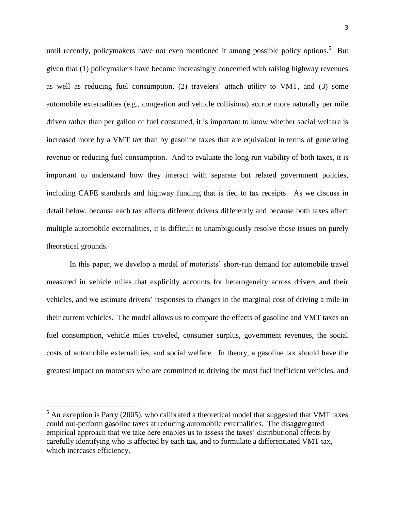until recently, policymakers have not even mentioned it among possible policy options.<sup>5</sup> But given that (1) policymakers have become increasingly concerned with raising highway revenues as well as reducing fuel consumption, (2) travelers' attach utility to VMT, and (3) some automobile externalities (e.g., congestion and vehicle collisions) accrue more naturally per mile driven rather than per gallon of fuel consumed, it is important to know whether social welfare is increased more by a VMT tax than by gasoline taxes that are equivalent in terms of generating revenue or reducing fuel consumption. And to evaluate the long-run viability of both taxes, it is important to understand how they interact with separate but related government policies, including CAFE standards and highway funding that is tied to tax receipts. As we discuss in detail below, because each tax affects different drivers differently and because both taxes affect multiple automobile externalities, it is difficult to unambiguously resolve those issues on purely theoretical grounds.

In this paper, we develop a model of motorists' short-run demand for automobile travel measured in vehicle miles that explicitly accounts for heterogeneity across drivers and their vehicles, and we estimate drivers' responses to changes in the marginal cost of driving a mile in their current vehicles. The model allows us to compare the effects of gasoline and VMT taxes on fuel consumption, vehicle miles traveled, consumer surplus, government revenues, the social costs of automobile externalities, and social welfare. In theory, a gasoline tax should have the greatest impact on motorists who are committed to driving the most fuel inefficient vehicles, and

 $<sup>5</sup>$  An exception is Parry (2005), who calibrated a theoretical model that suggested that VMT taxes</sup> could out-perform gasoline taxes at reducing automobile externalities. The disaggregated empirical approach that we take here enables us to assess the taxes' distributional effects by carefully identifying who is affected by each tax, and to formulate a differentiated VMT tax, which increases efficiency.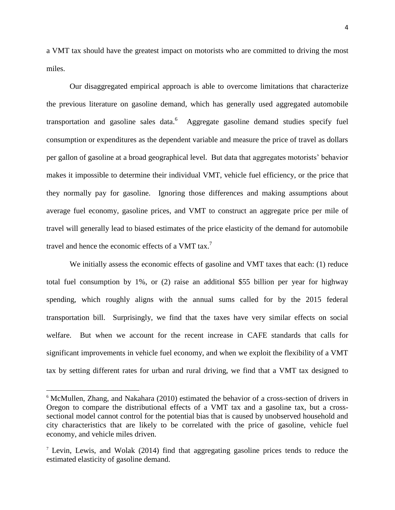a VMT tax should have the greatest impact on motorists who are committed to driving the most miles.

Our disaggregated empirical approach is able to overcome limitations that characterize the previous literature on gasoline demand, which has generally used aggregated automobile transportation and gasoline sales data.<sup>6</sup> Aggregate gasoline demand studies specify fuel consumption or expenditures as the dependent variable and measure the price of travel as dollars per gallon of gasoline at a broad geographical level. But data that aggregates motorists' behavior makes it impossible to determine their individual VMT, vehicle fuel efficiency, or the price that they normally pay for gasoline. Ignoring those differences and making assumptions about average fuel economy, gasoline prices, and VMT to construct an aggregate price per mile of travel will generally lead to biased estimates of the price elasticity of the demand for automobile travel and hence the economic effects of a VMT tax.<sup>7</sup>

We initially assess the economic effects of gasoline and VMT taxes that each: (1) reduce total fuel consumption by 1%, or (2) raise an additional \$55 billion per year for highway spending, which roughly aligns with the annual sums called for by the 2015 federal transportation bill. Surprisingly, we find that the taxes have very similar effects on social welfare. But when we account for the recent increase in CAFE standards that calls for significant improvements in vehicle fuel economy, and when we exploit the flexibility of a VMT tax by setting different rates for urban and rural driving, we find that a VMT tax designed to

<sup>&</sup>lt;sup>6</sup> McMullen, Zhang, and Nakahara (2010) estimated the behavior of a cross-section of drivers in Oregon to compare the distributional effects of a VMT tax and a gasoline tax, but a crosssectional model cannot control for the potential bias that is caused by unobserved household and city characteristics that are likely to be correlated with the price of gasoline, vehicle fuel economy, and vehicle miles driven.

<sup>7</sup> Levin, Lewis, and Wolak (2014) find that aggregating gasoline prices tends to reduce the estimated elasticity of gasoline demand.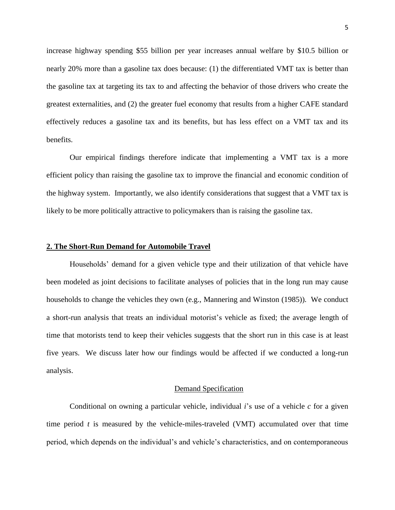increase highway spending \$55 billion per year increases annual welfare by \$10.5 billion or nearly 20% more than a gasoline tax does because: (1) the differentiated VMT tax is better than the gasoline tax at targeting its tax to and affecting the behavior of those drivers who create the greatest externalities, and (2) the greater fuel economy that results from a higher CAFE standard effectively reduces a gasoline tax and its benefits, but has less effect on a VMT tax and its benefits.

Our empirical findings therefore indicate that implementing a VMT tax is a more efficient policy than raising the gasoline tax to improve the financial and economic condition of the highway system. Importantly, we also identify considerations that suggest that a VMT tax is likely to be more politically attractive to policymakers than is raising the gasoline tax.

# **2. The Short-Run Demand for Automobile Travel**

Households' demand for a given vehicle type and their utilization of that vehicle have been modeled as joint decisions to facilitate analyses of policies that in the long run may cause households to change the vehicles they own (e.g., Mannering and Winston (1985)). We conduct a short-run analysis that treats an individual motorist's vehicle as fixed; the average length of time that motorists tend to keep their vehicles suggests that the short run in this case is at least five years. We discuss later how our findings would be affected if we conducted a long-run analysis.

# Demand Specification

Conditional on owning a particular vehicle, individual *i*'s use of a vehicle *c* for a given time period *t* is measured by the vehicle-miles-traveled (VMT) accumulated over that time period, which depends on the individual's and vehicle's characteristics, and on contemporaneous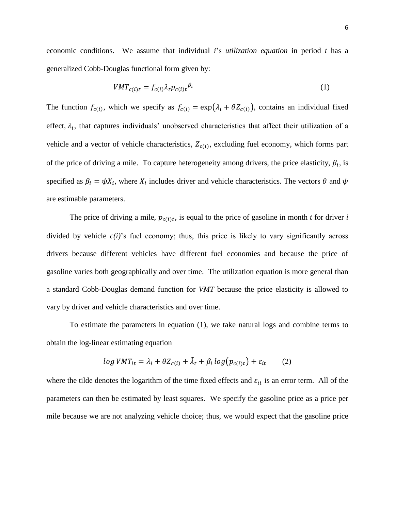economic conditions. We assume that individual *i*'s *utilization equation* in period *t* has a generalized Cobb-Douglas functional form given by:

$$
VMT_{c(i)t} = f_{c(i)}\lambda_t p_{c(i)t}^{\beta_i}
$$
 (1)

The function  $f_{c(i)}$ , which we specify as  $f_{c(i)} = \exp(\lambda_i + \theta Z_{c(i)})$ , contains an individual fixed effect,  $\lambda_i$ , that captures individuals' unobserved characteristics that affect their utilization of a vehicle and a vector of vehicle characteristics,  $Z_{c(i)}$ , excluding fuel economy, which forms part of the price of driving a mile. To capture heterogeneity among drivers, the price elasticity,  $\beta_i$ , is specified as  $\beta_i = \psi X_i$ , where  $X_i$  includes driver and vehicle characteristics. The vectors  $\theta$  and  $\psi$ are estimable parameters.

The price of driving a mile,  $p_{c(i)t}$ , is equal to the price of gasoline in month *t* for driver *i* divided by vehicle  $c(i)$ 's fuel economy; thus, this price is likely to vary significantly across drivers because different vehicles have different fuel economies and because the price of gasoline varies both geographically and over time. The utilization equation is more general than a standard Cobb-Douglas demand function for *VMT* because the price elasticity is allowed to vary by driver and vehicle characteristics and over time.

To estimate the parameters in equation (1), we take natural logs and combine terms to obtain the log-linear estimating equation

$$
log VMT_{it} = \lambda_i + \theta Z_{c(i)} + \tilde{\lambda}_t + \beta_i log(p_{c(i)t}) + \varepsilon_{it}
$$
 (2)

where the tilde denotes the logarithm of the time fixed effects and  $\varepsilon_{it}$  is an error term. All of the parameters can then be estimated by least squares. We specify the gasoline price as a price per mile because we are not analyzing vehicle choice; thus, we would expect that the gasoline price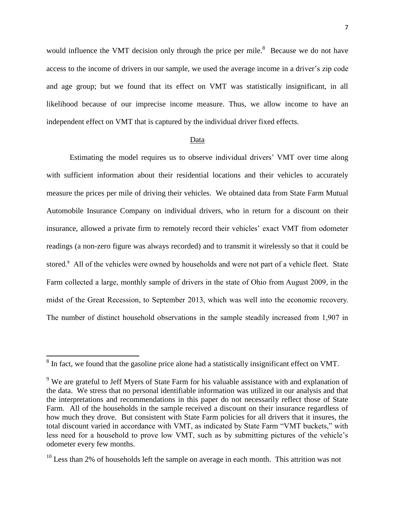would influence the VMT decision only through the price per mile.<sup>8</sup> Because we do not have access to the income of drivers in our sample, we used the average income in a driver's zip code and age group; but we found that its effect on VMT was statistically insignificant, in all likelihood because of our imprecise income measure. Thus, we allow income to have an independent effect on VMT that is captured by the individual driver fixed effects.

#### Data

Estimating the model requires us to observe individual drivers' VMT over time along with sufficient information about their residential locations and their vehicles to accurately measure the prices per mile of driving their vehicles. We obtained data from State Farm Mutual Automobile Insurance Company on individual drivers, who in return for a discount on their insurance, allowed a private firm to remotely record their vehicles' exact VMT from odometer readings (a non-zero figure was always recorded) and to transmit it wirelessly so that it could be stored.<sup>9</sup> All of the vehicles were owned by households and were not part of a vehicle fleet. State Farm collected a large, monthly sample of drivers in the state of Ohio from August 2009, in the midst of the Great Recession, to September 2013, which was well into the economic recovery. The number of distinct household observations in the sample steadily increased from 1,907 in

<sup>&</sup>lt;sup>8</sup> In fact, we found that the gasoline price alone had a statistically insignificant effect on VMT.

<sup>&</sup>lt;sup>9</sup> We are grateful to Jeff Myers of State Farm for his valuable assistance with and explanation of the data. We stress that no personal identifiable information was utilized in our analysis and that the interpretations and recommendations in this paper do not necessarily reflect those of State Farm. All of the households in the sample received a discount on their insurance regardless of how much they drove. But consistent with State Farm policies for all drivers that it insures, the total discount varied in accordance with VMT, as indicated by State Farm "VMT buckets," with less need for a household to prove low VMT, such as by submitting pictures of the vehicle's odometer every few months.

 $10$  Less than 2% of households left the sample on average in each month. This attrition was not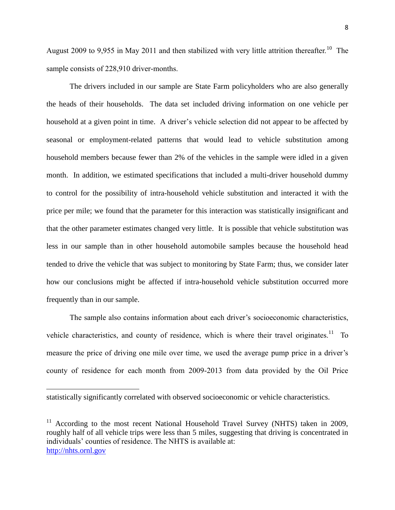August 2009 to 9,955 in May 2011 and then stabilized with very little attrition thereafter.<sup>10</sup> The sample consists of 228,910 driver-months.

The drivers included in our sample are State Farm policyholders who are also generally the heads of their households. The data set included driving information on one vehicle per household at a given point in time. A driver's vehicle selection did not appear to be affected by seasonal or employment-related patterns that would lead to vehicle substitution among household members because fewer than 2% of the vehicles in the sample were idled in a given month. In addition, we estimated specifications that included a multi-driver household dummy to control for the possibility of intra-household vehicle substitution and interacted it with the price per mile; we found that the parameter for this interaction was statistically insignificant and that the other parameter estimates changed very little. It is possible that vehicle substitution was less in our sample than in other household automobile samples because the household head tended to drive the vehicle that was subject to monitoring by State Farm; thus, we consider later how our conclusions might be affected if intra-household vehicle substitution occurred more frequently than in our sample.

The sample also contains information about each driver's socioeconomic characteristics, vehicle characteristics, and county of residence, which is where their travel originates.<sup>11</sup> To measure the price of driving one mile over time, we used the average pump price in a driver's county of residence for each month from 2009-2013 from data provided by the Oil Price

statistically significantly correlated with observed socioeconomic or vehicle characteristics.

<sup>&</sup>lt;sup>11</sup> According to the most recent National Household Travel Survey (NHTS) taken in 2009, roughly half of all vehicle trips were less than 5 miles, suggesting that driving is concentrated in individuals' counties of residence. The NHTS is available at: [http://nhts.ornl.gov](http://nhts.ornl.gov/)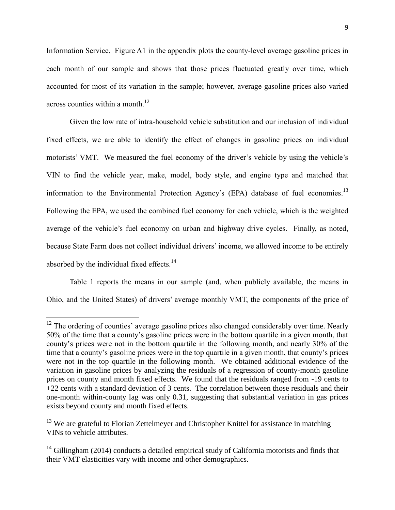Information Service. Figure A1 in the appendix plots the county-level average gasoline prices in each month of our sample and shows that those prices fluctuated greatly over time, which accounted for most of its variation in the sample; however, average gasoline prices also varied across counties within a month.<sup>12</sup>

Given the low rate of intra-household vehicle substitution and our inclusion of individual fixed effects, we are able to identify the effect of changes in gasoline prices on individual motorists' VMT. We measured the fuel economy of the driver's vehicle by using the vehicle's VIN to find the vehicle year, make, model, body style, and engine type and matched that information to the Environmental Protection Agency's (EPA) database of fuel economies.<sup>13</sup> Following the EPA, we used the combined fuel economy for each vehicle, which is the weighted average of the vehicle's fuel economy on urban and highway drive cycles. Finally, as noted, because State Farm does not collect individual drivers' income, we allowed income to be entirely absorbed by the individual fixed effects.<sup>14</sup>

Table 1 reports the means in our sample (and, when publicly available, the means in Ohio, and the United States) of drivers' average monthly VMT, the components of the price of

l

 $12$  The ordering of counties' average gasoline prices also changed considerably over time. Nearly 50% of the time that a county's gasoline prices were in the bottom quartile in a given month, that county's prices were not in the bottom quartile in the following month, and nearly 30% of the time that a county's gasoline prices were in the top quartile in a given month, that county's prices were not in the top quartile in the following month. We obtained additional evidence of the variation in gasoline prices by analyzing the residuals of a regression of county-month gasoline prices on county and month fixed effects. We found that the residuals ranged from -19 cents to +22 cents with a standard deviation of 3 cents. The correlation between those residuals and their one-month within-county lag was only 0.31, suggesting that substantial variation in gas prices exists beyond county and month fixed effects.

<sup>&</sup>lt;sup>13</sup> We are grateful to Florian Zettelmeyer and Christopher Knittel for assistance in matching VINs to vehicle attributes.

 $14$  Gillingham (2014) conducts a detailed empirical study of California motorists and finds that their VMT elasticities vary with income and other demographics.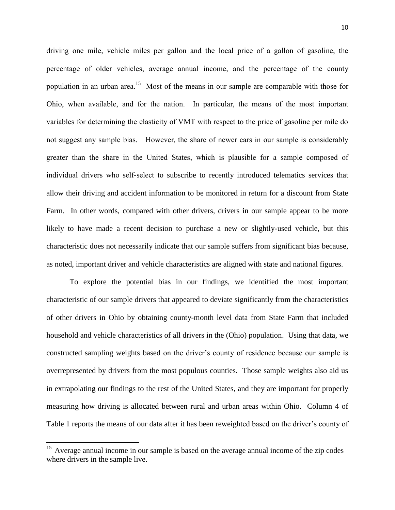driving one mile, vehicle miles per gallon and the local price of a gallon of gasoline, the percentage of older vehicles, average annual income, and the percentage of the county population in an urban area.<sup>15</sup> Most of the means in our sample are comparable with those for Ohio, when available, and for the nation. In particular, the means of the most important variables for determining the elasticity of VMT with respect to the price of gasoline per mile do not suggest any sample bias. However, the share of newer cars in our sample is considerably greater than the share in the United States, which is plausible for a sample composed of individual drivers who self-select to subscribe to recently introduced telematics services that allow their driving and accident information to be monitored in return for a discount from State Farm. In other words, compared with other drivers, drivers in our sample appear to be more likely to have made a recent decision to purchase a new or slightly-used vehicle, but this characteristic does not necessarily indicate that our sample suffers from significant bias because, as noted, important driver and vehicle characteristics are aligned with state and national figures.

To explore the potential bias in our findings, we identified the most important characteristic of our sample drivers that appeared to deviate significantly from the characteristics of other drivers in Ohio by obtaining county-month level data from State Farm that included household and vehicle characteristics of all drivers in the (Ohio) population. Using that data, we constructed sampling weights based on the driver's county of residence because our sample is overrepresented by drivers from the most populous counties. Those sample weights also aid us in extrapolating our findings to the rest of the United States, and they are important for properly measuring how driving is allocated between rural and urban areas within Ohio. Column 4 of Table 1 reports the means of our data after it has been reweighted based on the driver's county of

<sup>&</sup>lt;sup>15</sup> Average annual income in our sample is based on the average annual income of the zip codes where drivers in the sample live.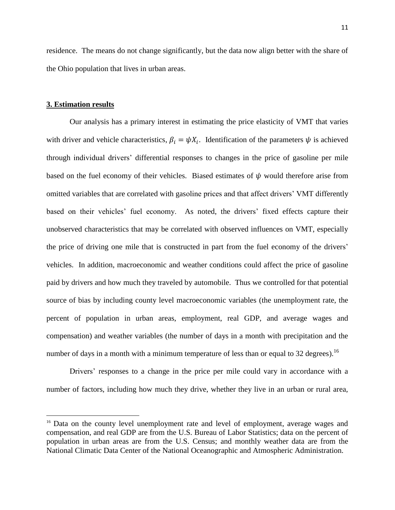residence. The means do not change significantly, but the data now align better with the share of the Ohio population that lives in urban areas.

#### **3. Estimation results**

l

Our analysis has a primary interest in estimating the price elasticity of VMT that varies with driver and vehicle characteristics,  $\beta_i = \psi X_i$ . Identification of the parameters  $\psi$  is achieved through individual drivers' differential responses to changes in the price of gasoline per mile based on the fuel economy of their vehicles. Biased estimates of  $\psi$  would therefore arise from omitted variables that are correlated with gasoline prices and that affect drivers' VMT differently based on their vehicles' fuel economy. As noted, the drivers' fixed effects capture their unobserved characteristics that may be correlated with observed influences on VMT, especially the price of driving one mile that is constructed in part from the fuel economy of the drivers' vehicles. In addition, macroeconomic and weather conditions could affect the price of gasoline paid by drivers and how much they traveled by automobile. Thus we controlled for that potential source of bias by including county level macroeconomic variables (the unemployment rate, the percent of population in urban areas, employment, real GDP, and average wages and compensation) and weather variables (the number of days in a month with precipitation and the number of days in a month with a minimum temperature of less than or equal to 32 degrees).<sup>16</sup>

Drivers' responses to a change in the price per mile could vary in accordance with a number of factors, including how much they drive, whether they live in an urban or rural area,

<sup>&</sup>lt;sup>16</sup> Data on the county level unemployment rate and level of employment, average wages and compensation, and real GDP are from the U.S. Bureau of Labor Statistics; data on the percent of population in urban areas are from the U.S. Census; and monthly weather data are from the National Climatic Data Center of the National Oceanographic and Atmospheric Administration.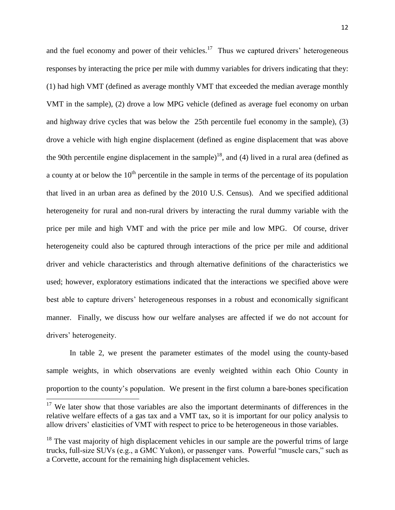and the fuel economy and power of their vehicles.<sup>17</sup> Thus we captured drivers' heterogeneous responses by interacting the price per mile with dummy variables for drivers indicating that they: (1) had high VMT (defined as average monthly VMT that exceeded the median average monthly VMT in the sample), (2) drove a low MPG vehicle (defined as average fuel economy on urban and highway drive cycles that was below the 25th percentile fuel economy in the sample), (3) drove a vehicle with high engine displacement (defined as engine displacement that was above the 90th percentile engine displacement in the sample)<sup>18</sup>, and (4) lived in a rural area (defined as a county at or below the  $10<sup>th</sup>$  percentile in the sample in terms of the percentage of its population that lived in an urban area as defined by the 2010 U.S. Census). And we specified additional heterogeneity for rural and non-rural drivers by interacting the rural dummy variable with the price per mile and high VMT and with the price per mile and low MPG. Of course, driver heterogeneity could also be captured through interactions of the price per mile and additional driver and vehicle characteristics and through alternative definitions of the characteristics we used; however, exploratory estimations indicated that the interactions we specified above were best able to capture drivers' heterogeneous responses in a robust and economically significant manner. Finally, we discuss how our welfare analyses are affected if we do not account for drivers' heterogeneity.

In table 2, we present the parameter estimates of the model using the county-based sample weights, in which observations are evenly weighted within each Ohio County in proportion to the county's population. We present in the first column a bare-bones specification

 $17$  We later show that those variables are also the important determinants of differences in the relative welfare effects of a gas tax and a VMT tax, so it is important for our policy analysis to allow drivers' elasticities of VMT with respect to price to be heterogeneous in those variables.

 $18$  The vast majority of high displacement vehicles in our sample are the powerful trims of large trucks, full-size SUVs (e.g., a GMC Yukon), or passenger vans. Powerful "muscle cars," such as a Corvette, account for the remaining high displacement vehicles.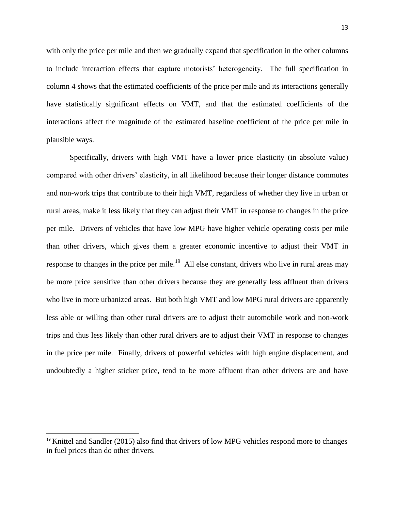with only the price per mile and then we gradually expand that specification in the other columns to include interaction effects that capture motorists' heterogeneity. The full specification in column 4 shows that the estimated coefficients of the price per mile and its interactions generally have statistically significant effects on VMT, and that the estimated coefficients of the interactions affect the magnitude of the estimated baseline coefficient of the price per mile in plausible ways.

Specifically, drivers with high VMT have a lower price elasticity (in absolute value) compared with other drivers' elasticity, in all likelihood because their longer distance commutes and non-work trips that contribute to their high VMT, regardless of whether they live in urban or rural areas, make it less likely that they can adjust their VMT in response to changes in the price per mile. Drivers of vehicles that have low MPG have higher vehicle operating costs per mile than other drivers, which gives them a greater economic incentive to adjust their VMT in response to changes in the price per mile.<sup>19</sup> All else constant, drivers who live in rural areas may be more price sensitive than other drivers because they are generally less affluent than drivers who live in more urbanized areas. But both high VMT and low MPG rural drivers are apparently less able or willing than other rural drivers are to adjust their automobile work and non-work trips and thus less likely than other rural drivers are to adjust their VMT in response to changes in the price per mile. Finally, drivers of powerful vehicles with high engine displacement, and undoubtedly a higher sticker price, tend to be more affluent than other drivers are and have

 $19$  Knittel and Sandler (2015) also find that drivers of low MPG vehicles respond more to changes in fuel prices than do other drivers.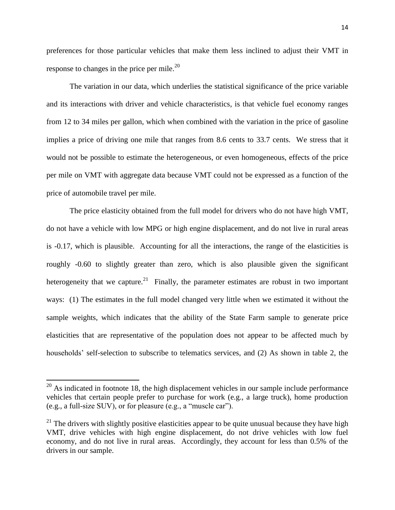preferences for those particular vehicles that make them less inclined to adjust their VMT in response to changes in the price per mile. $^{20}$ 

The variation in our data, which underlies the statistical significance of the price variable and its interactions with driver and vehicle characteristics, is that vehicle fuel economy ranges from 12 to 34 miles per gallon, which when combined with the variation in the price of gasoline implies a price of driving one mile that ranges from 8.6 cents to 33.7 cents. We stress that it would not be possible to estimate the heterogeneous, or even homogeneous, effects of the price per mile on VMT with aggregate data because VMT could not be expressed as a function of the price of automobile travel per mile.

The price elasticity obtained from the full model for drivers who do not have high VMT, do not have a vehicle with low MPG or high engine displacement, and do not live in rural areas is -0.17, which is plausible. Accounting for all the interactions, the range of the elasticities is roughly -0.60 to slightly greater than zero, which is also plausible given the significant heterogeneity that we capture.<sup>21</sup> Finally, the parameter estimates are robust in two important ways: (1) The estimates in the full model changed very little when we estimated it without the sample weights, which indicates that the ability of the State Farm sample to generate price elasticities that are representative of the population does not appear to be affected much by households' self-selection to subscribe to telematics services, and (2) As shown in table 2, the

 $\overline{a}$ 

 $^{20}$  As indicated in footnote 18, the high displacement vehicles in our sample include performance vehicles that certain people prefer to purchase for work (e.g., a large truck), home production (e.g., a full-size SUV), or for pleasure (e.g., a "muscle car").

 $21$  The drivers with slightly positive elasticities appear to be quite unusual because they have high VMT, drive vehicles with high engine displacement, do not drive vehicles with low fuel economy, and do not live in rural areas. Accordingly, they account for less than 0.5% of the drivers in our sample.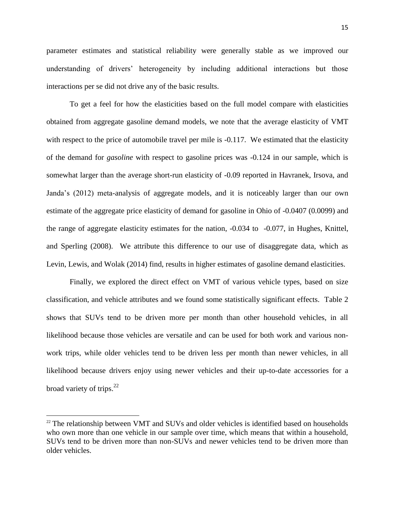parameter estimates and statistical reliability were generally stable as we improved our understanding of drivers' heterogeneity by including additional interactions but those interactions per se did not drive any of the basic results.

To get a feel for how the elasticities based on the full model compare with elasticities obtained from aggregate gasoline demand models, we note that the average elasticity of VMT with respect to the price of automobile travel per mile is -0.117. We estimated that the elasticity of the demand for *gasoline* with respect to gasoline prices was -0.124 in our sample, which is somewhat larger than the average short-run elasticity of -0.09 reported in Havranek, Irsova, and Janda's (2012) meta-analysis of aggregate models, and it is noticeably larger than our own estimate of the aggregate price elasticity of demand for gasoline in Ohio of -0.0407 (0.0099) and the range of aggregate elasticity estimates for the nation, -0.034 to -0.077, in Hughes, Knittel, and Sperling (2008). We attribute this difference to our use of disaggregate data, which as Levin, Lewis, and Wolak (2014) find, results in higher estimates of gasoline demand elasticities.

Finally, we explored the direct effect on VMT of various vehicle types, based on size classification, and vehicle attributes and we found some statistically significant effects. Table 2 shows that SUVs tend to be driven more per month than other household vehicles, in all likelihood because those vehicles are versatile and can be used for both work and various nonwork trips, while older vehicles tend to be driven less per month than newer vehicles, in all likelihood because drivers enjoy using newer vehicles and their up-to-date accessories for a broad variety of trips.<sup>22</sup>

l

 $22$  The relationship between VMT and SUVs and older vehicles is identified based on households who own more than one vehicle in our sample over time, which means that within a household, SUVs tend to be driven more than non-SUVs and newer vehicles tend to be driven more than older vehicles.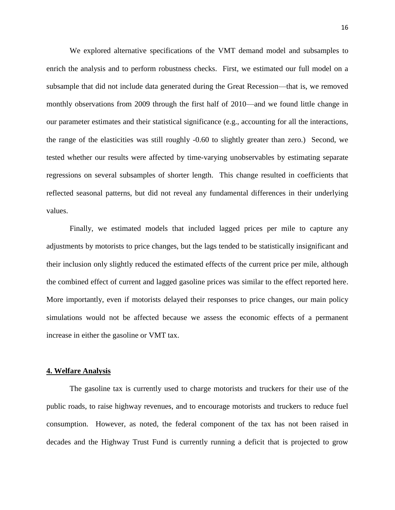We explored alternative specifications of the VMT demand model and subsamples to enrich the analysis and to perform robustness checks. First, we estimated our full model on a subsample that did not include data generated during the Great Recession—that is, we removed monthly observations from 2009 through the first half of 2010—and we found little change in our parameter estimates and their statistical significance (e.g., accounting for all the interactions, the range of the elasticities was still roughly -0.60 to slightly greater than zero.) Second, we tested whether our results were affected by time-varying unobservables by estimating separate regressions on several subsamples of shorter length. This change resulted in coefficients that reflected seasonal patterns, but did not reveal any fundamental differences in their underlying values.

Finally, we estimated models that included lagged prices per mile to capture any adjustments by motorists to price changes, but the lags tended to be statistically insignificant and their inclusion only slightly reduced the estimated effects of the current price per mile, although the combined effect of current and lagged gasoline prices was similar to the effect reported here. More importantly, even if motorists delayed their responses to price changes, our main policy simulations would not be affected because we assess the economic effects of a permanent increase in either the gasoline or VMT tax.

#### **4. Welfare Analysis**

The gasoline tax is currently used to charge motorists and truckers for their use of the public roads, to raise highway revenues, and to encourage motorists and truckers to reduce fuel consumption. However, as noted, the federal component of the tax has not been raised in decades and the Highway Trust Fund is currently running a deficit that is projected to grow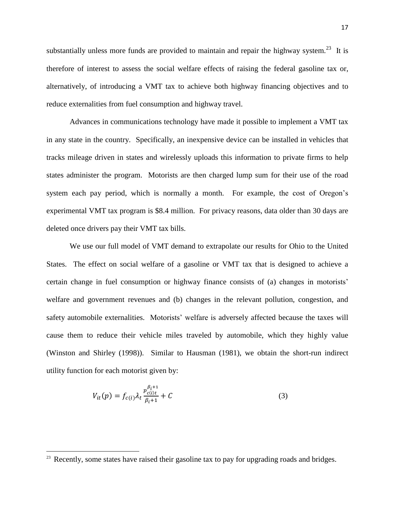substantially unless more funds are provided to maintain and repair the highway system.<sup>23</sup> It is therefore of interest to assess the social welfare effects of raising the federal gasoline tax or, alternatively, of introducing a VMT tax to achieve both highway financing objectives and to reduce externalities from fuel consumption and highway travel.

Advances in communications technology have made it possible to implement a VMT tax in any state in the country. Specifically, an inexpensive device can be installed in vehicles that tracks mileage driven in states and wirelessly uploads this information to private firms to help states administer the program. Motorists are then charged lump sum for their use of the road system each pay period, which is normally a month. For example, the cost of Oregon's experimental VMT tax program is \$8.4 million. For privacy reasons, data older than 30 days are deleted once drivers pay their VMT tax bills.

We use our full model of VMT demand to extrapolate our results for Ohio to the United States. The effect on social welfare of a gasoline or VMT tax that is designed to achieve a certain change in fuel consumption or highway finance consists of (a) changes in motorists' welfare and government revenues and (b) changes in the relevant pollution, congestion, and safety automobile externalities. Motorists' welfare is adversely affected because the taxes will cause them to reduce their vehicle miles traveled by automobile, which they highly value (Winston and Shirley (1998)). Similar to Hausman (1981), we obtain the short-run indirect utility function for each motorist given by:

$$
V_{it}(p) = f_{c(i)} \lambda_t \frac{p_{c(i)t}^{\beta_{i+1}}}{\beta_{i+1}} + C
$$
 (3)

<sup>&</sup>lt;sup>23</sup> Recently, some states have raised their gasoline tax to pay for upgrading roads and bridges.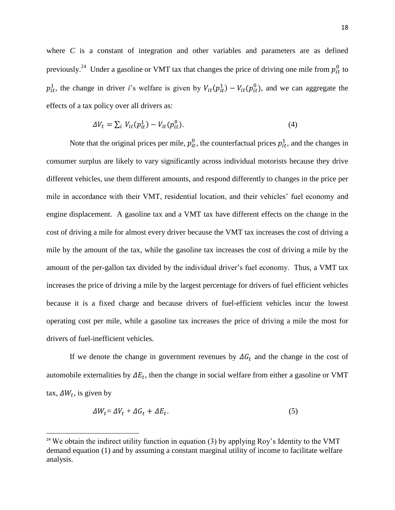where *C* is a constant of integration and other variables and parameters are as defined previously.<sup>24</sup> Under a gasoline or VMT tax that changes the price of driving one mile from  $p_{it}^0$  to  $p_{it}^1$ , the change in driver *i*'s welfare is given by  $V_{it}(p_{it}^1) - V_{it}(p_{it}^0)$ , and we can aggregate the effects of a tax policy over all drivers as:

$$
\Delta V_t = \sum_i V_{it}(p_{it}^1) - V_{it}(p_{it}^0). \tag{4}
$$

Note that the original prices per mile,  $p_{it}^0$ , the counterfactual prices  $p_{it}^1$ , and the changes in consumer surplus are likely to vary significantly across individual motorists because they drive different vehicles, use them different amounts, and respond differently to changes in the price per mile in accordance with their VMT, residential location, and their vehicles' fuel economy and engine displacement. A gasoline tax and a VMT tax have different effects on the change in the cost of driving a mile for almost every driver because the VMT tax increases the cost of driving a mile by the amount of the tax, while the gasoline tax increases the cost of driving a mile by the amount of the per-gallon tax divided by the individual driver's fuel economy. Thus, a VMT tax increases the price of driving a mile by the largest percentage for drivers of fuel efficient vehicles because it is a fixed charge and because drivers of fuel-efficient vehicles incur the lowest operating cost per mile, while a gasoline tax increases the price of driving a mile the most for drivers of fuel-inefficient vehicles.

If we denote the change in government revenues by  $\Delta G_t$  and the change in the cost of automobile externalities by  $\Delta E_t$ , then the change in social welfare from either a gasoline or VMT tax,  $\Delta W_t$ , is given by

$$
\Delta W_t = \Delta V_t + \Delta G_t + \Delta E_t. \tag{5}
$$

<sup>&</sup>lt;sup>24</sup> We obtain the indirect utility function in equation (3) by applying Roy's Identity to the VMT demand equation (1) and by assuming a constant marginal utility of income to facilitate welfare analysis.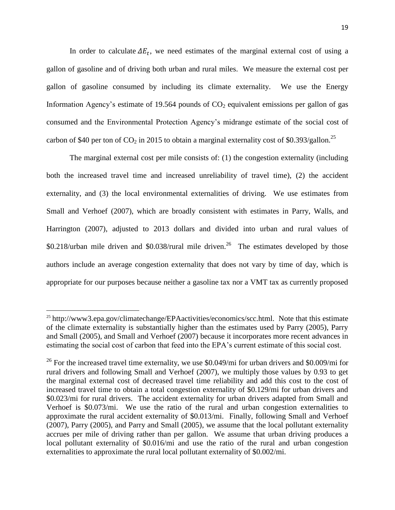In order to calculate  $\Delta E_t$ , we need estimates of the marginal external cost of using a gallon of gasoline and of driving both urban and rural miles. We measure the external cost per gallon of gasoline consumed by including its climate externality. We use the Energy Information Agency's estimate of 19.564 pounds of  $CO<sub>2</sub>$  equivalent emissions per gallon of gas consumed and the Environmental Protection Agency's midrange estimate of the social cost of carbon of \$40 per ton of CO<sub>2</sub> in 2015 to obtain a marginal externality cost of \$0.393/gallon.<sup>25</sup>

The marginal external cost per mile consists of: (1) the congestion externality (including both the increased travel time and increased unreliability of travel time), (2) the accident externality, and (3) the local environmental externalities of driving. We use estimates from Small and Verhoef (2007), which are broadly consistent with estimates in Parry, Walls, and Harrington (2007), adjusted to 2013 dollars and divided into urban and rural values of \$0.218/urban mile driven and \$0.038/rural mile driven.<sup>26</sup> The estimates developed by those authors include an average congestion externality that does not vary by time of day, which is appropriate for our purposes because neither a gasoline tax nor a VMT tax as currently proposed

<sup>&</sup>lt;sup>25</sup> http://www3.epa.gov/climatechange/EPAactivities/economics/scc.html. Note that this estimate of the climate externality is substantially higher than the estimates used by Parry (2005), Parry and Small (2005), and Small and Verhoef (2007) because it incorporates more recent advances in estimating the social cost of carbon that feed into the EPA's current estimate of this social cost.

<sup>&</sup>lt;sup>26</sup> For the increased travel time externality, we use \$0.049/mi for urban drivers and \$0.009/mi for rural drivers and following Small and Verhoef (2007), we multiply those values by 0.93 to get the marginal external cost of decreased travel time reliability and add this cost to the cost of increased travel time to obtain a total congestion externality of \$0.129/mi for urban drivers and \$0.023/mi for rural drivers. The accident externality for urban drivers adapted from Small and Verhoef is \$0.073/mi. We use the ratio of the rural and urban congestion externalities to approximate the rural accident externality of \$0.013/mi. Finally, following Small and Verhoef (2007), Parry (2005), and Parry and Small (2005), we assume that the local pollutant externality accrues per mile of driving rather than per gallon. We assume that urban driving produces a local pollutant externality of \$0.016/mi and use the ratio of the rural and urban congestion externalities to approximate the rural local pollutant externality of \$0.002/mi.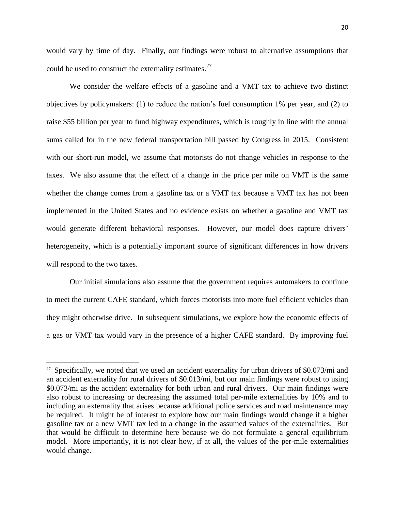would vary by time of day. Finally, our findings were robust to alternative assumptions that could be used to construct the externality estimates. $27$ 

We consider the welfare effects of a gasoline and a VMT tax to achieve two distinct objectives by policymakers: (1) to reduce the nation's fuel consumption 1% per year, and (2) to raise \$55 billion per year to fund highway expenditures, which is roughly in line with the annual sums called for in the new federal transportation bill passed by Congress in 2015. Consistent with our short-run model, we assume that motorists do not change vehicles in response to the taxes. We also assume that the effect of a change in the price per mile on VMT is the same whether the change comes from a gasoline tax or a VMT tax because a VMT tax has not been implemented in the United States and no evidence exists on whether a gasoline and VMT tax would generate different behavioral responses. However, our model does capture drivers' heterogeneity, which is a potentially important source of significant differences in how drivers will respond to the two taxes.

Our initial simulations also assume that the government requires automakers to continue to meet the current CAFE standard, which forces motorists into more fuel efficient vehicles than they might otherwise drive. In subsequent simulations, we explore how the economic effects of a gas or VMT tax would vary in the presence of a higher CAFE standard. By improving fuel

l

 $27$  Specifically, we noted that we used an accident externality for urban drivers of \$0.073/mi and an accident externality for rural drivers of \$0.013/mi, but our main findings were robust to using \$0.073/mi as the accident externality for both urban and rural drivers. Our main findings were also robust to increasing or decreasing the assumed total per-mile externalities by 10% and to including an externality that arises because additional police services and road maintenance may be required. It might be of interest to explore how our main findings would change if a higher gasoline tax or a new VMT tax led to a change in the assumed values of the externalities. But that would be difficult to determine here because we do not formulate a general equilibrium model. More importantly, it is not clear how, if at all, the values of the per-mile externalities would change.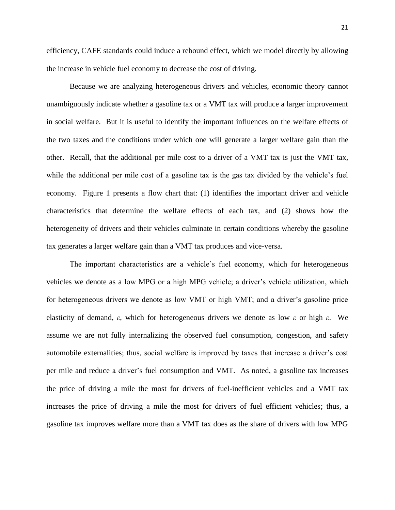efficiency, CAFE standards could induce a rebound effect, which we model directly by allowing the increase in vehicle fuel economy to decrease the cost of driving.

Because we are analyzing heterogeneous drivers and vehicles, economic theory cannot unambiguously indicate whether a gasoline tax or a VMT tax will produce a larger improvement in social welfare. But it is useful to identify the important influences on the welfare effects of the two taxes and the conditions under which one will generate a larger welfare gain than the other. Recall, that the additional per mile cost to a driver of a VMT tax is just the VMT tax, while the additional per mile cost of a gasoline tax is the gas tax divided by the vehicle's fuel economy. Figure 1 presents a flow chart that: (1) identifies the important driver and vehicle characteristics that determine the welfare effects of each tax, and (2) shows how the heterogeneity of drivers and their vehicles culminate in certain conditions whereby the gasoline tax generates a larger welfare gain than a VMT tax produces and vice-versa.

The important characteristics are a vehicle's fuel economy, which for heterogeneous vehicles we denote as a low MPG or a high MPG vehicle; a driver's vehicle utilization, which for heterogeneous drivers we denote as low VMT or high VMT; and a driver's gasoline price elasticity of demand, *ε*, which for heterogeneous drivers we denote as low *ε* or high *ε*. We assume we are not fully internalizing the observed fuel consumption, congestion, and safety automobile externalities; thus, social welfare is improved by taxes that increase a driver's cost per mile and reduce a driver's fuel consumption and VMT. As noted, a gasoline tax increases the price of driving a mile the most for drivers of fuel-inefficient vehicles and a VMT tax increases the price of driving a mile the most for drivers of fuel efficient vehicles; thus, a gasoline tax improves welfare more than a VMT tax does as the share of drivers with low MPG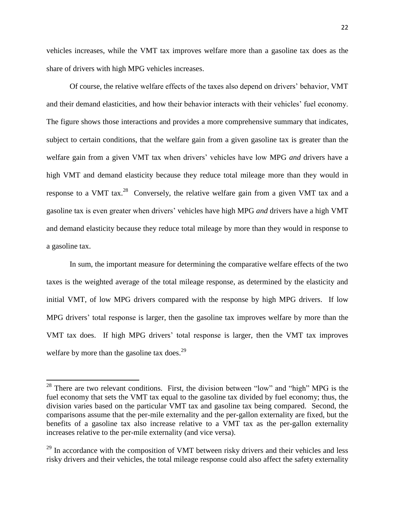vehicles increases, while the VMT tax improves welfare more than a gasoline tax does as the share of drivers with high MPG vehicles increases.

Of course, the relative welfare effects of the taxes also depend on drivers' behavior, VMT and their demand elasticities, and how their behavior interacts with their vehicles' fuel economy. The figure shows those interactions and provides a more comprehensive summary that indicates, subject to certain conditions, that the welfare gain from a given gasoline tax is greater than the welfare gain from a given VMT tax when drivers' vehicles have low MPG *and* drivers have a high VMT and demand elasticity because they reduce total mileage more than they would in response to a VMT tax.<sup>28</sup> Conversely, the relative welfare gain from a given VMT tax and a gasoline tax is even greater when drivers' vehicles have high MPG *and* drivers have a high VMT and demand elasticity because they reduce total mileage by more than they would in response to a gasoline tax.

In sum, the important measure for determining the comparative welfare effects of the two taxes is the weighted average of the total mileage response, as determined by the elasticity and initial VMT, of low MPG drivers compared with the response by high MPG drivers. If low MPG drivers' total response is larger, then the gasoline tax improves welfare by more than the VMT tax does. If high MPG drivers' total response is larger, then the VMT tax improves welfare by more than the gasoline tax does. $29$ 

 $\overline{a}$ 

 $28$  There are two relevant conditions. First, the division between "low" and "high" MPG is the fuel economy that sets the VMT tax equal to the gasoline tax divided by fuel economy; thus, the division varies based on the particular VMT tax and gasoline tax being compared. Second, the comparisons assume that the per-mile externality and the per-gallon externality are fixed, but the benefits of a gasoline tax also increase relative to a VMT tax as the per-gallon externality increases relative to the per-mile externality (and vice versa).

 $29$  In accordance with the composition of VMT between risky drivers and their vehicles and less risky drivers and their vehicles, the total mileage response could also affect the safety externality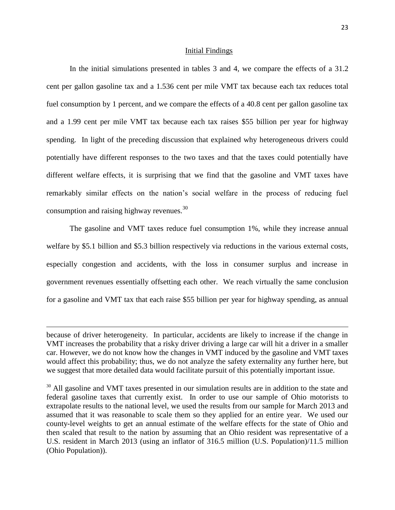#### Initial Findings

In the initial simulations presented in tables 3 and 4, we compare the effects of a 31.2 cent per gallon gasoline tax and a 1.536 cent per mile VMT tax because each tax reduces total fuel consumption by 1 percent, and we compare the effects of a 40.8 cent per gallon gasoline tax and a 1.99 cent per mile VMT tax because each tax raises \$55 billion per year for highway spending. In light of the preceding discussion that explained why heterogeneous drivers could potentially have different responses to the two taxes and that the taxes could potentially have different welfare effects, it is surprising that we find that the gasoline and VMT taxes have remarkably similar effects on the nation's social welfare in the process of reducing fuel consumption and raising highway revenues. $30$ 

The gasoline and VMT taxes reduce fuel consumption 1%, while they increase annual welfare by \$5.1 billion and \$5.3 billion respectively via reductions in the various external costs, especially congestion and accidents, with the loss in consumer surplus and increase in government revenues essentially offsetting each other. We reach virtually the same conclusion for a gasoline and VMT tax that each raise \$55 billion per year for highway spending, as annual

 $\overline{a}$ 

because of driver heterogeneity. In particular, accidents are likely to increase if the change in VMT increases the probability that a risky driver driving a large car will hit a driver in a smaller car. However, we do not know how the changes in VMT induced by the gasoline and VMT taxes would affect this probability; thus, we do not analyze the safety externality any further here, but we suggest that more detailed data would facilitate pursuit of this potentially important issue.

<sup>&</sup>lt;sup>30</sup> All gasoline and VMT taxes presented in our simulation results are in addition to the state and federal gasoline taxes that currently exist. In order to use our sample of Ohio motorists to extrapolate results to the national level, we used the results from our sample for March 2013 and assumed that it was reasonable to scale them so they applied for an entire year. We used our county-level weights to get an annual estimate of the welfare effects for the state of Ohio and then scaled that result to the nation by assuming that an Ohio resident was representative of a U.S. resident in March 2013 (using an inflator of 316.5 million (U.S. Population)/11.5 million (Ohio Population)).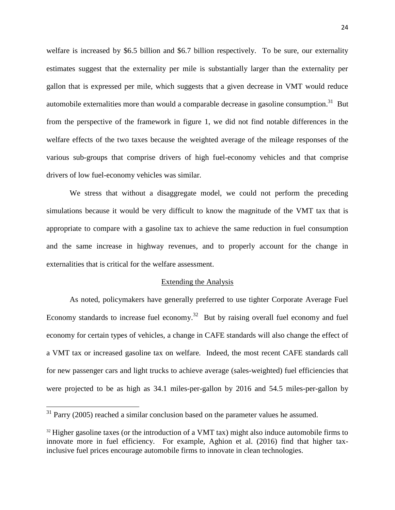welfare is increased by \$6.5 billion and \$6.7 billion respectively. To be sure, our externality estimates suggest that the externality per mile is substantially larger than the externality per gallon that is expressed per mile, which suggests that a given decrease in VMT would reduce automobile externalities more than would a comparable decrease in gasoline consumption.<sup>31</sup> But from the perspective of the framework in figure 1, we did not find notable differences in the welfare effects of the two taxes because the weighted average of the mileage responses of the various sub-groups that comprise drivers of high fuel-economy vehicles and that comprise drivers of low fuel-economy vehicles was similar.

We stress that without a disaggregate model, we could not perform the preceding simulations because it would be very difficult to know the magnitude of the VMT tax that is appropriate to compare with a gasoline tax to achieve the same reduction in fuel consumption and the same increase in highway revenues, and to properly account for the change in externalities that is critical for the welfare assessment.

#### Extending the Analysis

As noted, policymakers have generally preferred to use tighter Corporate Average Fuel Economy standards to increase fuel economy.<sup>32</sup> But by raising overall fuel economy and fuel economy for certain types of vehicles, a change in CAFE standards will also change the effect of a VMT tax or increased gasoline tax on welfare. Indeed, the most recent CAFE standards call for new passenger cars and light trucks to achieve average (sales-weighted) fuel efficiencies that were projected to be as high as 34.1 miles-per-gallon by 2016 and 54.5 miles-per-gallon by

 $31$  Parry (2005) reached a similar conclusion based on the parameter values he assumed.

 $32$  Higher gasoline taxes (or the introduction of a VMT tax) might also induce automobile firms to innovate more in fuel efficiency. For example, Aghion et al. (2016) find that higher taxinclusive fuel prices encourage automobile firms to innovate in clean technologies.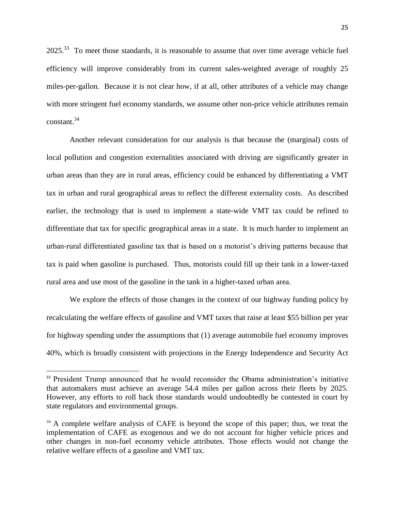$2025<sup>33</sup>$  To meet those standards, it is reasonable to assume that over time average vehicle fuel efficiency will improve considerably from its current sales-weighted average of roughly 25 miles-per-gallon. Because it is not clear how, if at all, other attributes of a vehicle may change with more stringent fuel economy standards, we assume other non-price vehicle attributes remain constant.<sup>34</sup>

Another relevant consideration for our analysis is that because the (marginal) costs of local pollution and congestion externalities associated with driving are significantly greater in urban areas than they are in rural areas, efficiency could be enhanced by differentiating a VMT tax in urban and rural geographical areas to reflect the different externality costs. As described earlier, the technology that is used to implement a state-wide VMT tax could be refined to differentiate that tax for specific geographical areas in a state. It is much harder to implement an urban-rural differentiated gasoline tax that is based on a motorist's driving patterns because that tax is paid when gasoline is purchased. Thus, motorists could fill up their tank in a lower-taxed rural area and use most of the gasoline in the tank in a higher-taxed urban area.

We explore the effects of those changes in the context of our highway funding policy by recalculating the welfare effects of gasoline and VMT taxes that raise at least \$55 billion per year for highway spending under the assumptions that (1) average automobile fuel economy improves 40%, which is broadly consistent with projections in the Energy Independence and Security Act

<sup>&</sup>lt;sup>33</sup> President Trump announced that he would reconsider the Obama administration's initiative that automakers must achieve an average 54.4 miles per gallon across their fleets by 2025. However, any efforts to roll back those standards would undoubtedly be contested in court by state regulators and environmental groups.

<sup>&</sup>lt;sup>34</sup> A complete welfare analysis of CAFE is beyond the scope of this paper; thus, we treat the implementation of CAFE as exogenous and we do not account for higher vehicle prices and other changes in non-fuel economy vehicle attributes. Those effects would not change the relative welfare effects of a gasoline and VMT tax.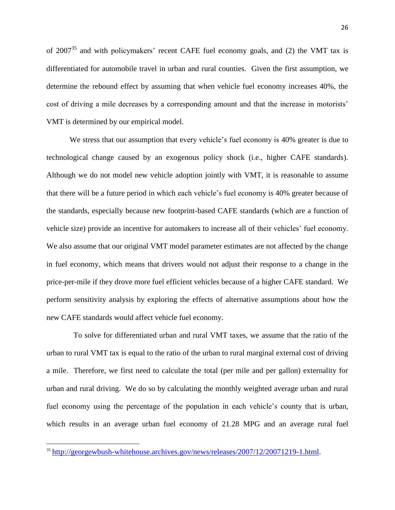of 2007<sup>35</sup> and with policymakers' recent CAFE fuel economy goals, and (2) the VMT tax is differentiated for automobile travel in urban and rural counties. Given the first assumption, we determine the rebound effect by assuming that when vehicle fuel economy increases 40%, the cost of driving a mile decreases by a corresponding amount and that the increase in motorists' VMT is determined by our empirical model.

We stress that our assumption that every vehicle's fuel economy is 40% greater is due to technological change caused by an exogenous policy shock (i.e., higher CAFE standards). Although we do not model new vehicle adoption jointly with VMT, it is reasonable to assume that there will be a future period in which each vehicle's fuel economy is 40% greater because of the standards, especially because new footprint-based CAFE standards (which are a function of vehicle size) provide an incentive for automakers to increase all of their vehicles' fuel economy. We also assume that our original VMT model parameter estimates are not affected by the change in fuel economy, which means that drivers would not adjust their response to a change in the price-per-mile if they drove more fuel efficient vehicles because of a higher CAFE standard. We perform sensitivity analysis by exploring the effects of alternative assumptions about how the new CAFE standards would affect vehicle fuel economy.

 To solve for differentiated urban and rural VMT taxes, we assume that the ratio of the urban to rural VMT tax is equal to the ratio of the urban to rural marginal external cost of driving a mile. Therefore, we first need to calculate the total (per mile and per gallon) externality for urban and rural driving. We do so by calculating the monthly weighted average urban and rural fuel economy using the percentage of the population in each vehicle's county that is urban, which results in an average urban fuel economy of 21.28 MPG and an average rural fuel

<sup>&</sup>lt;sup>35</sup> [http://georgewbush-whitehouse.archives.gov/news/releases/2007/12/20071219-1.html.](http://georgewbush-whitehouse.archives.gov/news/releases/2007/12/20071219-1.html)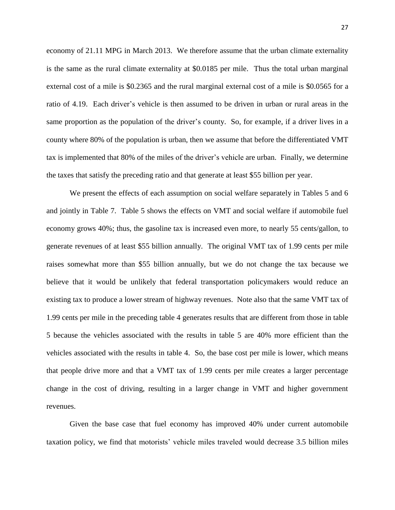economy of 21.11 MPG in March 2013. We therefore assume that the urban climate externality is the same as the rural climate externality at \$0.0185 per mile. Thus the total urban marginal external cost of a mile is \$0.2365 and the rural marginal external cost of a mile is \$0.0565 for a ratio of 4.19. Each driver's vehicle is then assumed to be driven in urban or rural areas in the same proportion as the population of the driver's county. So, for example, if a driver lives in a county where 80% of the population is urban, then we assume that before the differentiated VMT tax is implemented that 80% of the miles of the driver's vehicle are urban. Finally, we determine the taxes that satisfy the preceding ratio and that generate at least \$55 billion per year.

We present the effects of each assumption on social welfare separately in Tables 5 and 6 and jointly in Table 7. Table 5 shows the effects on VMT and social welfare if automobile fuel economy grows 40%; thus, the gasoline tax is increased even more, to nearly 55 cents/gallon, to generate revenues of at least \$55 billion annually. The original VMT tax of 1.99 cents per mile raises somewhat more than \$55 billion annually, but we do not change the tax because we believe that it would be unlikely that federal transportation policymakers would reduce an existing tax to produce a lower stream of highway revenues. Note also that the same VMT tax of 1.99 cents per mile in the preceding table 4 generates results that are different from those in table 5 because the vehicles associated with the results in table 5 are 40% more efficient than the vehicles associated with the results in table 4. So, the base cost per mile is lower, which means that people drive more and that a VMT tax of 1.99 cents per mile creates a larger percentage change in the cost of driving, resulting in a larger change in VMT and higher government revenues.

Given the base case that fuel economy has improved 40% under current automobile taxation policy, we find that motorists' vehicle miles traveled would decrease 3.5 billion miles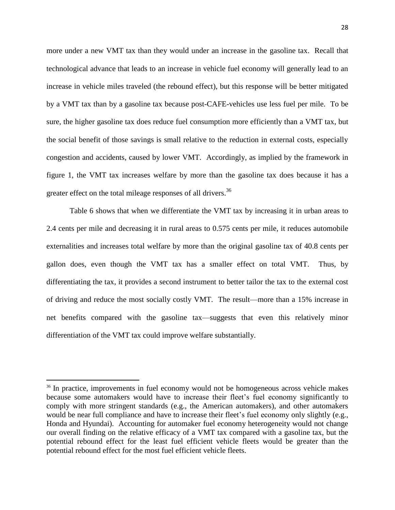more under a new VMT tax than they would under an increase in the gasoline tax. Recall that technological advance that leads to an increase in vehicle fuel economy will generally lead to an increase in vehicle miles traveled (the rebound effect), but this response will be better mitigated by a VMT tax than by a gasoline tax because post-CAFE-vehicles use less fuel per mile. To be sure, the higher gasoline tax does reduce fuel consumption more efficiently than a VMT tax, but the social benefit of those savings is small relative to the reduction in external costs, especially congestion and accidents, caused by lower VMT. Accordingly, as implied by the framework in figure 1, the VMT tax increases welfare by more than the gasoline tax does because it has a greater effect on the total mileage responses of all drivers.<sup>36</sup>

Table 6 shows that when we differentiate the VMT tax by increasing it in urban areas to 2.4 cents per mile and decreasing it in rural areas to 0.575 cents per mile, it reduces automobile externalities and increases total welfare by more than the original gasoline tax of 40.8 cents per gallon does, even though the VMT tax has a smaller effect on total VMT. Thus, by differentiating the tax, it provides a second instrument to better tailor the tax to the external cost of driving and reduce the most socially costly VMT. The result—more than a 15% increase in net benefits compared with the gasoline tax—suggests that even this relatively minor differentiation of the VMT tax could improve welfare substantially.

 $\overline{a}$ 

<sup>&</sup>lt;sup>36</sup> In practice, improvements in fuel economy would not be homogeneous across vehicle makes because some automakers would have to increase their fleet's fuel economy significantly to comply with more stringent standards (e.g., the American automakers), and other automakers would be near full compliance and have to increase their fleet's fuel economy only slightly (e.g., Honda and Hyundai). Accounting for automaker fuel economy heterogeneity would not change our overall finding on the relative efficacy of a VMT tax compared with a gasoline tax, but the potential rebound effect for the least fuel efficient vehicle fleets would be greater than the potential rebound effect for the most fuel efficient vehicle fleets.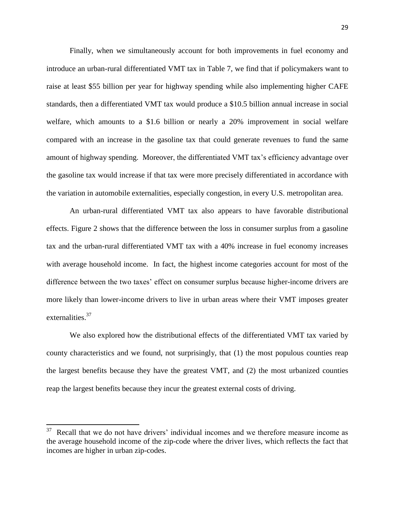Finally, when we simultaneously account for both improvements in fuel economy and introduce an urban-rural differentiated VMT tax in Table 7, we find that if policymakers want to raise at least \$55 billion per year for highway spending while also implementing higher CAFE standards, then a differentiated VMT tax would produce a \$10.5 billion annual increase in social welfare, which amounts to a \$1.6 billion or nearly a 20% improvement in social welfare compared with an increase in the gasoline tax that could generate revenues to fund the same amount of highway spending. Moreover, the differentiated VMT tax's efficiency advantage over the gasoline tax would increase if that tax were more precisely differentiated in accordance with the variation in automobile externalities, especially congestion, in every U.S. metropolitan area.

An urban-rural differentiated VMT tax also appears to have favorable distributional effects. Figure 2 shows that the difference between the loss in consumer surplus from a gasoline tax and the urban-rural differentiated VMT tax with a 40% increase in fuel economy increases with average household income. In fact, the highest income categories account for most of the difference between the two taxes' effect on consumer surplus because higher-income drivers are more likely than lower-income drivers to live in urban areas where their VMT imposes greater externalities.<sup>37</sup>

We also explored how the distributional effects of the differentiated VMT tax varied by county characteristics and we found, not surprisingly, that (1) the most populous counties reap the largest benefits because they have the greatest VMT, and (2) the most urbanized counties reap the largest benefits because they incur the greatest external costs of driving.

 $\overline{a}$ 

<sup>37</sup> Recall that we do not have drivers' individual incomes and we therefore measure income as the average household income of the zip-code where the driver lives, which reflects the fact that incomes are higher in urban zip-codes.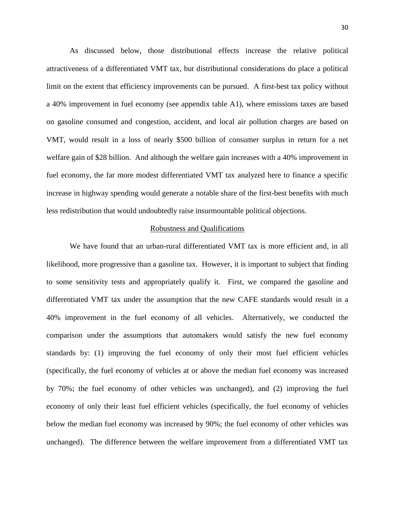As discussed below, those distributional effects increase the relative political attractiveness of a differentiated VMT tax, but distributional considerations do place a political limit on the extent that efficiency improvements can be pursued. A first-best tax policy without a 40% improvement in fuel economy (see appendix table A1), where emissions taxes are based on gasoline consumed and congestion, accident, and local air pollution charges are based on VMT, would result in a loss of nearly \$500 billion of consumer surplus in return for a net welfare gain of \$28 billion. And although the welfare gain increases with a 40% improvement in fuel economy, the far more modest differentiated VMT tax analyzed here to finance a specific increase in highway spending would generate a notable share of the first-best benefits with much less redistribution that would undoubtedly raise insurmountable political objections.

#### Robustness and Qualifications

We have found that an urban-rural differentiated VMT tax is more efficient and, in all likelihood, more progressive than a gasoline tax. However, it is important to subject that finding to some sensitivity tests and appropriately qualify it. First, we compared the gasoline and differentiated VMT tax under the assumption that the new CAFE standards would result in a 40% improvement in the fuel economy of all vehicles. Alternatively, we conducted the comparison under the assumptions that automakers would satisfy the new fuel economy standards by: (1) improving the fuel economy of only their most fuel efficient vehicles (specifically, the fuel economy of vehicles at or above the median fuel economy was increased by 70%; the fuel economy of other vehicles was unchanged), and (2) improving the fuel economy of only their least fuel efficient vehicles (specifically, the fuel economy of vehicles below the median fuel economy was increased by 90%; the fuel economy of other vehicles was unchanged). The difference between the welfare improvement from a differentiated VMT tax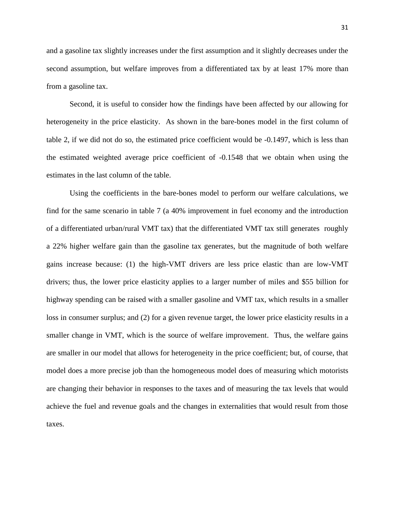and a gasoline tax slightly increases under the first assumption and it slightly decreases under the second assumption, but welfare improves from a differentiated tax by at least 17% more than from a gasoline tax.

Second, it is useful to consider how the findings have been affected by our allowing for heterogeneity in the price elasticity. As shown in the bare-bones model in the first column of table 2, if we did not do so, the estimated price coefficient would be -0.1497, which is less than the estimated weighted average price coefficient of -0.1548 that we obtain when using the estimates in the last column of the table.

Using the coefficients in the bare-bones model to perform our welfare calculations, we find for the same scenario in table 7 (a 40% improvement in fuel economy and the introduction of a differentiated urban/rural VMT tax) that the differentiated VMT tax still generates roughly a 22% higher welfare gain than the gasoline tax generates, but the magnitude of both welfare gains increase because: (1) the high-VMT drivers are less price elastic than are low-VMT drivers; thus, the lower price elasticity applies to a larger number of miles and \$55 billion for highway spending can be raised with a smaller gasoline and VMT tax, which results in a smaller loss in consumer surplus; and (2) for a given revenue target, the lower price elasticity results in a smaller change in VMT, which is the source of welfare improvement. Thus, the welfare gains are smaller in our model that allows for heterogeneity in the price coefficient; but, of course, that model does a more precise job than the homogeneous model does of measuring which motorists are changing their behavior in responses to the taxes and of measuring the tax levels that would achieve the fuel and revenue goals and the changes in externalities that would result from those taxes.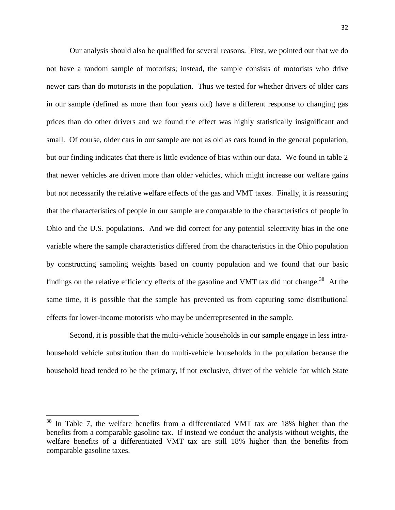Our analysis should also be qualified for several reasons. First, we pointed out that we do not have a random sample of motorists; instead, the sample consists of motorists who drive newer cars than do motorists in the population. Thus we tested for whether drivers of older cars in our sample (defined as more than four years old) have a different response to changing gas prices than do other drivers and we found the effect was highly statistically insignificant and small. Of course, older cars in our sample are not as old as cars found in the general population, but our finding indicates that there is little evidence of bias within our data. We found in table 2 that newer vehicles are driven more than older vehicles, which might increase our welfare gains but not necessarily the relative welfare effects of the gas and VMT taxes. Finally, it is reassuring that the characteristics of people in our sample are comparable to the characteristics of people in Ohio and the U.S. populations. And we did correct for any potential selectivity bias in the one variable where the sample characteristics differed from the characteristics in the Ohio population by constructing sampling weights based on county population and we found that our basic findings on the relative efficiency effects of the gasoline and VMT tax did not change.<sup>38</sup> At the same time, it is possible that the sample has prevented us from capturing some distributional effects for lower-income motorists who may be underrepresented in the sample.

Second, it is possible that the multi-vehicle households in our sample engage in less intrahousehold vehicle substitution than do multi-vehicle households in the population because the household head tended to be the primary, if not exclusive, driver of the vehicle for which State

l

 $38$  In Table 7, the welfare benefits from a differentiated VMT tax are 18% higher than the benefits from a comparable gasoline tax. If instead we conduct the analysis without weights, the welfare benefits of a differentiated VMT tax are still 18% higher than the benefits from comparable gasoline taxes.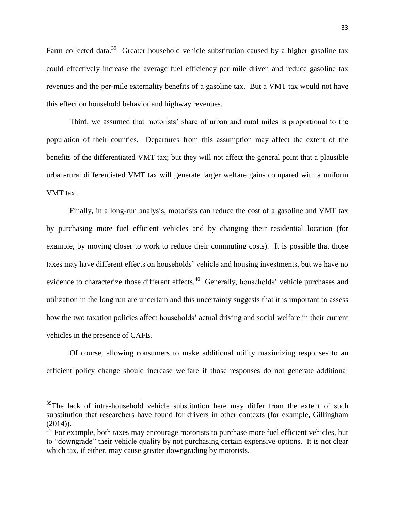Farm collected data.<sup>39</sup> Greater household vehicle substitution caused by a higher gasoline tax could effectively increase the average fuel efficiency per mile driven and reduce gasoline tax revenues and the per-mile externality benefits of a gasoline tax. But a VMT tax would not have this effect on household behavior and highway revenues.

Third, we assumed that motorists' share of urban and rural miles is proportional to the population of their counties. Departures from this assumption may affect the extent of the benefits of the differentiated VMT tax; but they will not affect the general point that a plausible urban-rural differentiated VMT tax will generate larger welfare gains compared with a uniform VMT tax.

Finally, in a long-run analysis, motorists can reduce the cost of a gasoline and VMT tax by purchasing more fuel efficient vehicles and by changing their residential location (for example, by moving closer to work to reduce their commuting costs). It is possible that those taxes may have different effects on households' vehicle and housing investments, but we have no evidence to characterize those different effects. $40$  Generally, households' vehicle purchases and utilization in the long run are uncertain and this uncertainty suggests that it is important to assess how the two taxation policies affect households' actual driving and social welfare in their current vehicles in the presence of CAFE.

Of course, allowing consumers to make additional utility maximizing responses to an efficient policy change should increase welfare if those responses do not generate additional

 $39$ The lack of intra-household vehicle substitution here may differ from the extent of such substitution that researchers have found for drivers in other contexts (for example, Gillingham (2014)).

<sup>&</sup>lt;sup>40</sup> For example, both taxes may encourage motorists to purchase more fuel efficient vehicles, but to "downgrade" their vehicle quality by not purchasing certain expensive options. It is not clear which tax, if either, may cause greater downgrading by motorists.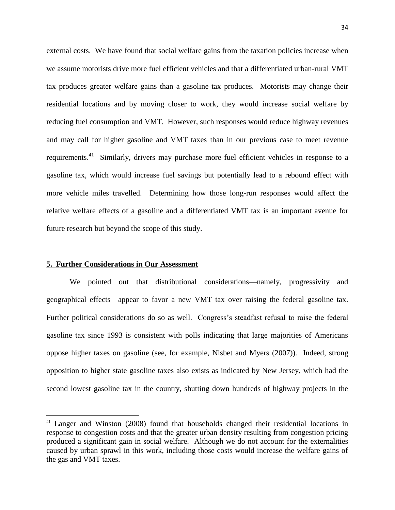external costs. We have found that social welfare gains from the taxation policies increase when we assume motorists drive more fuel efficient vehicles and that a differentiated urban-rural VMT tax produces greater welfare gains than a gasoline tax produces. Motorists may change their residential locations and by moving closer to work, they would increase social welfare by reducing fuel consumption and VMT. However, such responses would reduce highway revenues and may call for higher gasoline and VMT taxes than in our previous case to meet revenue requirements.<sup>41</sup> Similarly, drivers may purchase more fuel efficient vehicles in response to a gasoline tax, which would increase fuel savings but potentially lead to a rebound effect with more vehicle miles travelled. Determining how those long-run responses would affect the relative welfare effects of a gasoline and a differentiated VMT tax is an important avenue for future research but beyond the scope of this study.

## **5. Further Considerations in Our Assessment**

l

We pointed out that distributional considerations—namely, progressivity and geographical effects—appear to favor a new VMT tax over raising the federal gasoline tax. Further political considerations do so as well. Congress's steadfast refusal to raise the federal gasoline tax since 1993 is consistent with polls indicating that large majorities of Americans oppose higher taxes on gasoline (see, for example, Nisbet and Myers (2007)). Indeed, strong opposition to higher state gasoline taxes also exists as indicated by New Jersey, which had the second lowest gasoline tax in the country, shutting down hundreds of highway projects in the

<sup>&</sup>lt;sup>41</sup> Langer and Winston (2008) found that households changed their residential locations in response to congestion costs and that the greater urban density resulting from congestion pricing produced a significant gain in social welfare. Although we do not account for the externalities caused by urban sprawl in this work, including those costs would increase the welfare gains of the gas and VMT taxes.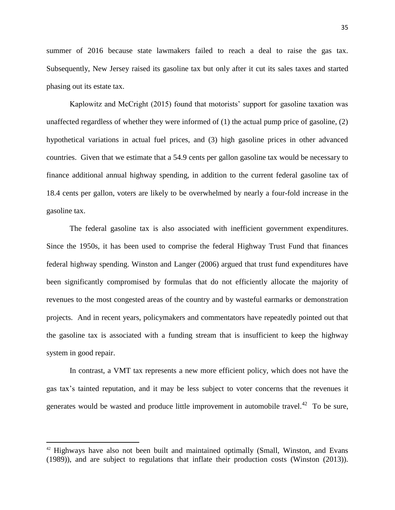summer of 2016 because state lawmakers failed to reach a deal to raise the gas tax. Subsequently, New Jersey raised its gasoline tax but only after it cut its sales taxes and started phasing out its estate tax.

Kaplowitz and McCright (2015) found that motorists' support for gasoline taxation was unaffected regardless of whether they were informed of  $(1)$  the actual pump price of gasoline,  $(2)$ hypothetical variations in actual fuel prices, and (3) high gasoline prices in other advanced countries. Given that we estimate that a 54.9 cents per gallon gasoline tax would be necessary to finance additional annual highway spending, in addition to the current federal gasoline tax of 18.4 cents per gallon, voters are likely to be overwhelmed by nearly a four-fold increase in the gasoline tax.

The federal gasoline tax is also associated with inefficient government expenditures. Since the 1950s, it has been used to comprise the federal Highway Trust Fund that finances federal highway spending. Winston and Langer (2006) argued that trust fund expenditures have been significantly compromised by formulas that do not efficiently allocate the majority of revenues to the most congested areas of the country and by wasteful earmarks or demonstration projects. And in recent years, policymakers and commentators have repeatedly pointed out that the gasoline tax is associated with a funding stream that is insufficient to keep the highway system in good repair.

In contrast, a VMT tax represents a new more efficient policy, which does not have the gas tax's tainted reputation, and it may be less subject to voter concerns that the revenues it generates would be wasted and produce little improvement in automobile travel.<sup>42</sup> To be sure,

<sup>&</sup>lt;sup>42</sup> Highways have also not been built and maintained optimally (Small, Winston, and Evans (1989)), and are subject to regulations that inflate their production costs (Winston (2013)).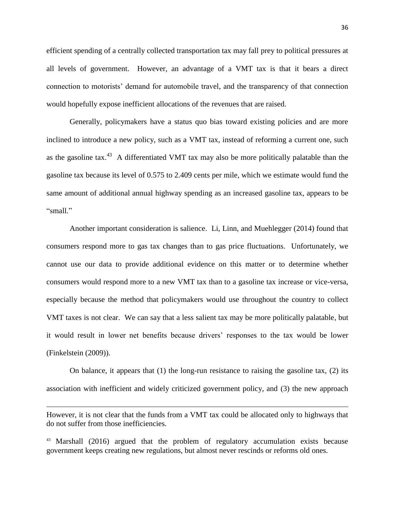efficient spending of a centrally collected transportation tax may fall prey to political pressures at all levels of government. However, an advantage of a VMT tax is that it bears a direct connection to motorists' demand for automobile travel, and the transparency of that connection would hopefully expose inefficient allocations of the revenues that are raised.

Generally, policymakers have a status quo bias toward existing policies and are more inclined to introduce a new policy, such as a VMT tax, instead of reforming a current one, such as the gasoline tax.<sup>43</sup> A differentiated VMT tax may also be more politically palatable than the gasoline tax because its level of 0.575 to 2.409 cents per mile, which we estimate would fund the same amount of additional annual highway spending as an increased gasoline tax, appears to be "small."

Another important consideration is salience. Li, Linn, and Muehlegger (2014) found that consumers respond more to gas tax changes than to gas price fluctuations. Unfortunately, we cannot use our data to provide additional evidence on this matter or to determine whether consumers would respond more to a new VMT tax than to a gasoline tax increase or vice-versa, especially because the method that policymakers would use throughout the country to collect VMT taxes is not clear. We can say that a less salient tax may be more politically palatable, but it would result in lower net benefits because drivers' responses to the tax would be lower (Finkelstein (2009)).

On balance, it appears that  $(1)$  the long-run resistance to raising the gasoline tax,  $(2)$  its association with inefficient and widely criticized government policy, and (3) the new approach

However, it is not clear that the funds from a VMT tax could be allocated only to highways that do not suffer from those inefficiencies.

<sup>&</sup>lt;sup>43</sup> Marshall (2016) argued that the problem of regulatory accumulation exists because government keeps creating new regulations, but almost never rescinds or reforms old ones.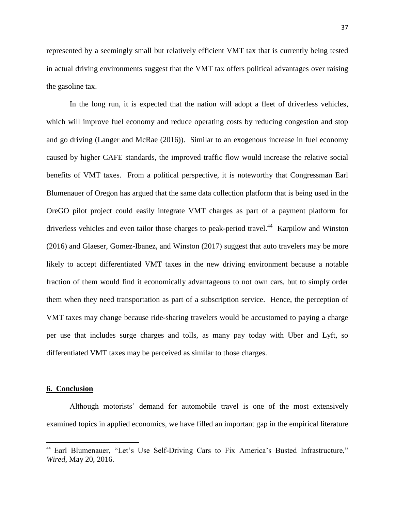represented by a seemingly small but relatively efficient VMT tax that is currently being tested in actual driving environments suggest that the VMT tax offers political advantages over raising the gasoline tax.

In the long run, it is expected that the nation will adopt a fleet of driverless vehicles, which will improve fuel economy and reduce operating costs by reducing congestion and stop and go driving (Langer and McRae (2016)). Similar to an exogenous increase in fuel economy caused by higher CAFE standards, the improved traffic flow would increase the relative social benefits of VMT taxes. From a political perspective, it is noteworthy that Congressman Earl Blumenauer of Oregon has argued that the same data collection platform that is being used in the OreGO pilot project could easily integrate VMT charges as part of a payment platform for driverless vehicles and even tailor those charges to peak-period travel.<sup>44</sup> Karpilow and Winston (2016) and Glaeser, Gomez-Ibanez, and Winston (2017) suggest that auto travelers may be more likely to accept differentiated VMT taxes in the new driving environment because a notable fraction of them would find it economically advantageous to not own cars, but to simply order them when they need transportation as part of a subscription service. Hence, the perception of VMT taxes may change because ride-sharing travelers would be accustomed to paying a charge per use that includes surge charges and tolls, as many pay today with Uber and Lyft, so differentiated VMT taxes may be perceived as similar to those charges.

#### **6. Conclusion**

l

Although motorists' demand for automobile travel is one of the most extensively examined topics in applied economics, we have filled an important gap in the empirical literature

<sup>&</sup>lt;sup>44</sup> Earl Blumenauer, "Let's Use Self-Driving Cars to Fix America's Busted Infrastructure," *Wired*, May 20, 2016.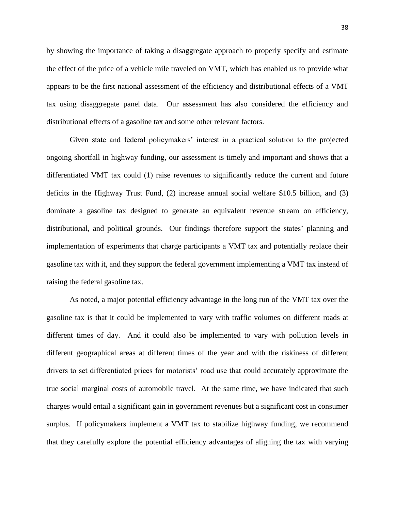by showing the importance of taking a disaggregate approach to properly specify and estimate the effect of the price of a vehicle mile traveled on VMT, which has enabled us to provide what appears to be the first national assessment of the efficiency and distributional effects of a VMT tax using disaggregate panel data. Our assessment has also considered the efficiency and distributional effects of a gasoline tax and some other relevant factors.

Given state and federal policymakers' interest in a practical solution to the projected ongoing shortfall in highway funding, our assessment is timely and important and shows that a differentiated VMT tax could (1) raise revenues to significantly reduce the current and future deficits in the Highway Trust Fund, (2) increase annual social welfare \$10.5 billion, and (3) dominate a gasoline tax designed to generate an equivalent revenue stream on efficiency, distributional, and political grounds. Our findings therefore support the states' planning and implementation of experiments that charge participants a VMT tax and potentially replace their gasoline tax with it, and they support the federal government implementing a VMT tax instead of raising the federal gasoline tax.

As noted, a major potential efficiency advantage in the long run of the VMT tax over the gasoline tax is that it could be implemented to vary with traffic volumes on different roads at different times of day. And it could also be implemented to vary with pollution levels in different geographical areas at different times of the year and with the riskiness of different drivers to set differentiated prices for motorists' road use that could accurately approximate the true social marginal costs of automobile travel. At the same time, we have indicated that such charges would entail a significant gain in government revenues but a significant cost in consumer surplus. If policymakers implement a VMT tax to stabilize highway funding, we recommend that they carefully explore the potential efficiency advantages of aligning the tax with varying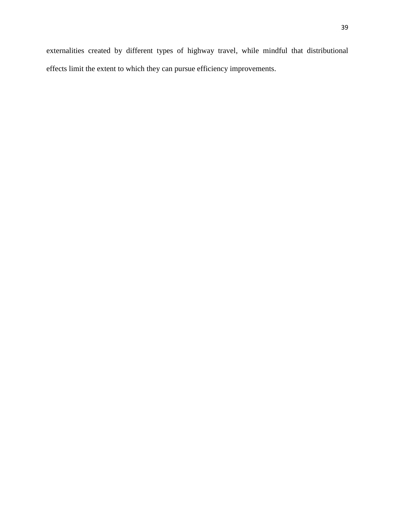externalities created by different types of highway travel, while mindful that distributional effects limit the extent to which they can pursue efficiency improvements.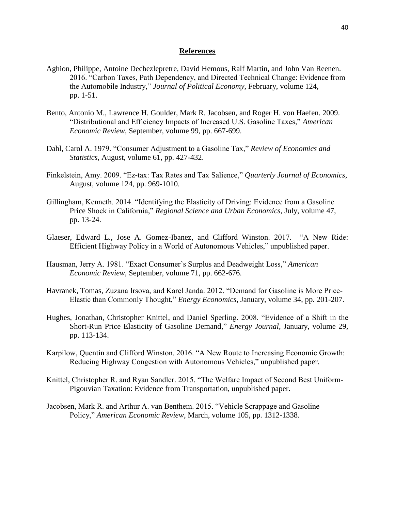#### **References**

- Aghion, Philippe, Antoine Dechezlepretre, David Hemous, Ralf Martin, and John Van Reenen. 2016. "Carbon Taxes, Path Dependency, and Directed Technical Change: Evidence from the Automobile Industry," *Journal of Political Economy*, February, volume 124, pp. 1-51.
- Bento, Antonio M., Lawrence H. Goulder, Mark R. Jacobsen, and Roger H. von Haefen. 2009. "Distributional and Efficiency Impacts of Increased U.S. Gasoline Taxes," *American Economic Review*, September, volume 99, pp. 667-699.
- Dahl, Carol A. 1979. "Consumer Adjustment to a Gasoline Tax," *Review of Economics and Statistics*, August, volume 61, pp. 427-432.
- Finkelstein, Amy. 2009. "Ez-tax: Tax Rates and Tax Salience," *Quarterly Journal of Economics*, August, volume 124, pp. 969-1010.
- Gillingham, Kenneth. 2014. "Identifying the Elasticity of Driving: Evidence from a Gasoline Price Shock in California," *Regional Science and Urban Economics*, July, volume 47, pp. 13-24.
- Glaeser, Edward L., Jose A. Gomez-Ibanez, and Clifford Winston. 2017. "A New Ride: Efficient Highway Policy in a World of Autonomous Vehicles," unpublished paper.
- Hausman, Jerry A. 1981. "Exact Consumer's Surplus and Deadweight Loss," *American Economic Review*, September, volume 71, pp. 662-676.
- Havranek, Tomas, Zuzana Irsova, and Karel Janda. 2012. "Demand for Gasoline is More Price-Elastic than Commonly Thought," *Energy Economics*, January, volume 34, pp. 201-207.
- Hughes, Jonathan, Christopher Knittel, and Daniel Sperling. 2008. "Evidence of a Shift in the Short-Run Price Elasticity of Gasoline Demand," *Energy Journal*, January, volume 29, pp. 113-134.
- Karpilow, Quentin and Clifford Winston. 2016. "A New Route to Increasing Economic Growth: Reducing Highway Congestion with Autonomous Vehicles," unpublished paper.
- Knittel, Christopher R. and Ryan Sandler. 2015. "The Welfare Impact of Second Best Uniform-Pigouvian Taxation: Evidence from Transportation, unpublished paper.
- Jacobsen, Mark R. and Arthur A. van Benthem. 2015. "Vehicle Scrappage and Gasoline Policy," *American Economic Review*, March, volume 105, pp. 1312-1338.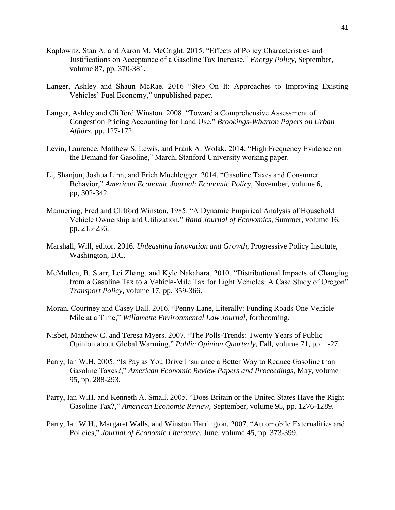- Kaplowitz, Stan A. and Aaron M. McCright. 2015. "Effects of Policy Characteristics and Justifications on Acceptance of a Gasoline Tax Increase," *Energy Policy*, September, volume 87, pp. 370-381.
- Langer, Ashley and Shaun McRae. 2016 "Step On It: Approaches to Improving Existing Vehicles' Fuel Economy," unpublished paper.
- Langer, Ashley and Clifford Winston. 2008. "Toward a Comprehensive Assessment of Congestion Pricing Accounting for Land Use," *Brookings-Wharton Papers on Urban Affairs*, pp. 127-172.
- Levin, Laurence, Matthew S. Lewis, and Frank A. Wolak. 2014. "High Frequency Evidence on the Demand for Gasoline," March, Stanford University working paper.
- Li, Shanjun, Joshua Linn, and Erich Muehlegger. 2014. "Gasoline Taxes and Consumer Behavior," *American Economic Journal*: *Economic Policy*, November, volume 6, pp, 302-342.
- Mannering, Fred and Clifford Winston. 1985. "A Dynamic Empirical Analysis of Household Vehicle Ownership and Utilization," *Rand Journal of Economics*, Summer, volume 16, pp. 215-236.
- Marshall, Will, editor. 2016. *Unleashing Innovation and Growth*, Progressive Policy Institute, Washington, D.C.
- McMullen, B. Starr, Lei Zhang, and Kyle Nakahara. 2010. "Distributional Impacts of Changing from a Gasoline Tax to a Vehicle-Mile Tax for Light Vehicles: A Case Study of Oregon" *Transport Policy*, volume 17, pp. 359-366.
- Moran, Courtney and Casey Ball. 2016. "Penny Lane, Literally: Funding Roads One Vehicle Mile at a Time," *Willamette Environmental Law Journal*, forthcoming.
- Nisbet, Matthew C. and Teresa Myers. 2007. "The Polls-Trends: Twenty Years of Public Opinion about Global Warming," *Public Opinion Quarterly*, Fall, volume 71, pp. 1-27.
- Parry, Ian W.H. 2005. "Is Pay as You Drive Insurance a Better Way to Reduce Gasoline than Gasoline Taxes?," *American Economic Review Papers and Proceedings*, May, volume 95, pp. 288-293.
- Parry, Ian W.H. and Kenneth A. Small. 2005. "Does Britain or the United States Have the Right Gasoline Tax?," *American Economic Review*, September, volume 95, pp. 1276-1289.
- Parry, Ian W.H., Margaret Walls, and Winston Harrington. 2007. "Automobile Externalities and Policies," *Journal of Economic Literature*, June, volume 45, pp. 373-399.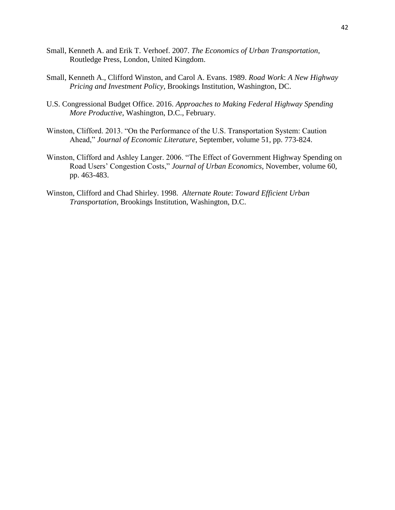- Small, Kenneth A. and Erik T. Verhoef. 2007. *The Economics of Urban Transportation*, Routledge Press, London, United Kingdom.
- Small, Kenneth A., Clifford Winston, and Carol A. Evans. 1989. *Road Work*: *A New Highway Pricing and Investment Policy*, Brookings Institution, Washington, DC.
- U.S. Congressional Budget Office. 2016. *Approaches to Making Federal Highway Spending More Productive*, Washington, D.C., February.
- Winston, Clifford. 2013. "On the Performance of the U.S. Transportation System: Caution Ahead," *Journal of Economic Literature*, September, volume 51, pp. 773-824.
- Winston, Clifford and Ashley Langer. 2006. "The Effect of Government Highway Spending on Road Users' Congestion Costs," *Journal of Urban Economics*, November, volume 60, pp. 463-483.
- Winston, Clifford and Chad Shirley. 1998. *Alternate Route*: *Toward Efficient Urban Transportation*, Brookings Institution, Washington, D.C.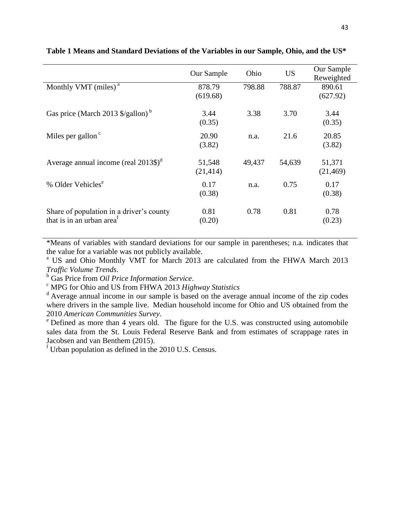|                                                                                   | Our Sample          | Ohio   | <b>US</b> | Our Sample<br>Reweighted |
|-----------------------------------------------------------------------------------|---------------------|--------|-----------|--------------------------|
| Monthly VMT (miles) <sup>a</sup>                                                  | 878.79<br>(619.68)  | 798.88 | 788.87    | 890.61<br>(627.92)       |
| Gas price (March 2013 $\frac{1}{2}$ /gallon) <sup>b</sup>                         | 3.44<br>(0.35)      | 3.38   | 3.70      | 3.44<br>(0.35)           |
| Miles per gallon <sup>c</sup>                                                     | 20.90<br>(3.82)     | n.a.   | 21.6      | 20.85<br>(3.82)          |
| Average annual income (real $2013\$ ) <sup>d</sup>                                | 51,548<br>(21, 414) | 49,437 | 54,639    | 51,371<br>(21, 469)      |
| % Older Vehicles <sup>e</sup>                                                     | 0.17<br>(0.38)      | n.a.   | 0.75      | 0.17<br>(0.38)           |
| Share of population in a driver's county<br>that is in an urban area <sup>f</sup> | 0.81<br>(0.20)      | 0.78   | 0.81      | 0.78<br>(0.23)           |

# **Table 1 Means and Standard Deviations of the Variables in our Sample, Ohio, and the US\***

\*Means of variables with standard deviations for our sample in parentheses; n.a. indicates that the value for a variable was not publicly available.

<sup>a</sup> US and Ohio Monthly VMT for March 2013 are calculated from the FHWA March 2013 *Traffic Volume Trends*.

<sup>b</sup> Gas Price from *Oil Price Information Service*.

<sup>c</sup> MPG for Ohio and US from FHWA 2013 *Highway Statistics*

 $d$  Average annual income in our sample is based on the average annual income of the zip codes where drivers in the sample live. Median household income for Ohio and US obtained from the 2010 *American Communities Survey*.

<sup>e</sup> Defined as more than 4 years old. The figure for the U.S. was constructed using automobile sales data from the St. Louis Federal Reserve Bank and from estimates of scrappage rates in Jacobsen and van Benthem (2015).

 $f$  Urban population as defined in the 2010 U.S. Census.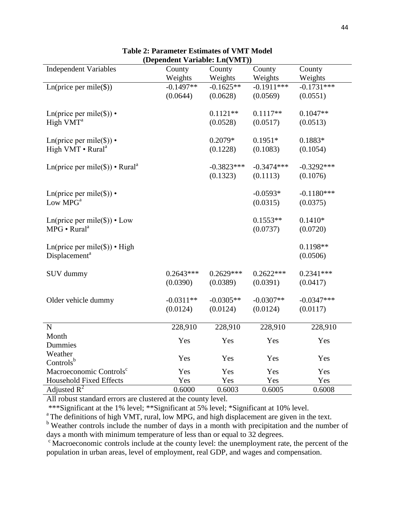| <b>Independent Variables</b>                | $(Dc)$ chucht variabic. $Ln(v)$ ivi i $f$<br>County | County       | County       | County       |
|---------------------------------------------|-----------------------------------------------------|--------------|--------------|--------------|
|                                             | Weights                                             | Weights      | Weights      | Weights      |
| Ln(price per mile(\$))                      | $-0.1497**$                                         | $-0.1625**$  | $-0.1911***$ | $-0.1731***$ |
|                                             | (0.0644)                                            | (0.0628)     | (0.0569)     | (0.0551)     |
| $Ln(price per mile($))$ .                   |                                                     | $0.1121**$   | $0.1117**$   | $0.1047**$   |
| High VMT <sup>a</sup>                       |                                                     | (0.0528)     | (0.0517)     | (0.0513)     |
|                                             |                                                     |              |              |              |
| $Ln(price per mile($))$ .                   |                                                     | $0.2079*$    | $0.1951*$    | $0.1883*$    |
| High VMT • Rural <sup>a</sup>               |                                                     | (0.1228)     | (0.1083)     | (0.1054)     |
| Ln(price per mile(\$)) • Rural <sup>a</sup> |                                                     | $-0.3823***$ | $-0.3474***$ | $-0.3292***$ |
|                                             |                                                     | (0.1323)     | (0.1113)     | (0.1076)     |
| $Ln(price per mile($))$ .                   |                                                     |              | $-0.0593*$   | $-0.1180***$ |
| Low MPG <sup>a</sup>                        |                                                     |              | (0.0315)     | (0.0375)     |
|                                             |                                                     |              |              |              |
| $Ln(price per mile($)) \cdot Low$           |                                                     |              | $0.1553**$   | $0.1410*$    |
| MPG · Rural <sup>a</sup>                    |                                                     |              | (0.0737)     | (0.0720)     |
| $Ln(price per mile($)) \cdot High$          |                                                     |              |              | $0.1198**$   |
| Displacement <sup>a</sup>                   |                                                     |              |              | (0.0506)     |
|                                             |                                                     |              |              |              |
| SUV dummy                                   | $0.2643***$                                         | $0.2629***$  | $0.2622***$  | $0.2341***$  |
|                                             | (0.0390)                                            | (0.0389)     | (0.0391)     | (0.0417)     |
|                                             |                                                     |              |              |              |
| Older vehicle dummy                         | $-0.0311**$                                         | $-0.0305**$  | $-0.0307**$  | $-0.0347***$ |
|                                             | (0.0124)                                            | (0.0124)     | (0.0124)     | (0.0117)     |
| $\mathbf N$                                 | 228,910                                             | 228,910      | 228,910      | 228,910      |
| Month                                       |                                                     |              |              |              |
| Dummies                                     | Yes                                                 | Yes          | Yes          | Yes          |
| Weather                                     |                                                     |              |              |              |
| Controls <sup>b</sup>                       | Yes                                                 | Yes          | Yes          | Yes          |
| Macroeconomic Controls <sup>c</sup>         | Yes                                                 | Yes          | Yes          | Yes          |
| <b>Household Fixed Effects</b>              | Yes                                                 | Yes          | Yes          | Yes          |
| Adjusted $R^2$                              | 0.6000                                              | 0.6003       | 0.6005       | 0.6008       |

#### **Table 2: Parameter Estimates of VMT Model (Dependent Variable: Ln(VMT))**

All robust standard errors are clustered at the county level.

\*\*\*Significant at the 1% level; \*\*Significant at 5% level; \*Significant at 10% level.

<sup>a</sup>The definitions of high VMT, rural, low MPG, and high displacement are given in the text.

<sup>b</sup> Weather controls include the number of days in a month with precipitation and the number of days a month with minimum temperature of less than or equal to 32 degrees.

 $\epsilon$ Macroeconomic controls include at the county level: the unemployment rate, the percent of the population in urban areas, level of employment, real GDP, and wages and compensation.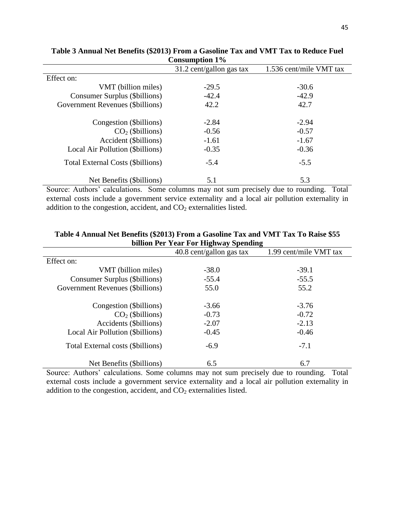|                                      | 31.2 cent/gallon gas tax | 1.536 cent/mile VMT tax |
|--------------------------------------|--------------------------|-------------------------|
| Effect on:                           |                          |                         |
| VMT (billion miles)                  | $-29.5$                  | $-30.6$                 |
| <b>Consumer Surplus (\$billions)</b> | $-42.4$                  | $-42.9$                 |
| Government Revenues (\$billions)     | 42.2                     | 42.7                    |
| Congestion (\$billions)              | $-2.84$                  | $-2.94$                 |
| $CO2$ (\$billions)                   | $-0.56$                  | $-0.57$                 |
| Accident (\$billions)                | $-1.61$                  | $-1.67$                 |
| Local Air Pollution (\$billions)     | $-0.35$                  | $-0.36$                 |
| Total External Costs (\$billions)    | $-5.4$                   | $-5.5$                  |
| Net Benefits (\$billions)            | 5.1                      | 5.3                     |

**Table 3 Annual Net Benefits (\$2013) From a Gasoline Tax and VMT Tax to Reduce Fuel Consumption 1%**

Source: Authors' calculations. Some columns may not sum precisely due to rounding. Total external costs include a government service externality and a local air pollution externality in addition to the congestion, accident, and  $CO<sub>2</sub>$  externalities listed.

|                                   | 40.8 cent/gallon gas tax | 1.99 cent/mile VMT tax |
|-----------------------------------|--------------------------|------------------------|
| Effect on:                        |                          |                        |
| VMT (billion miles)               | $-38.0$                  | $-39.1$                |
| Consumer Surplus (\$billions)     | $-55.4$                  | $-55.5$                |
| Government Revenues (\$billions)  | 55.0                     | 55.2                   |
| Congestion (\$billions)           | $-3.66$                  | $-3.76$                |
| $CO2$ (\$billions)                | $-0.73$                  | $-0.72$                |
| Accidents (\$billions)            | $-2.07$                  | $-2.13$                |
| Local Air Pollution (\$billions)  | $-0.45$                  | $-0.46$                |
| Total External costs (\$billions) | $-6.9$                   | $-7.1$                 |
| Net Benefits (\$billions)         | 6.5                      | 6.7                    |

**Table 4 Annual Net Benefits (\$2013) From a Gasoline Tax and VMT Tax To Raise \$55 billion Per Year For Highway Spending**

Source: Authors' calculations. Some columns may not sum precisely due to rounding. Total external costs include a government service externality and a local air pollution externality in addition to the congestion, accident, and  $CO<sub>2</sub>$  externalities listed.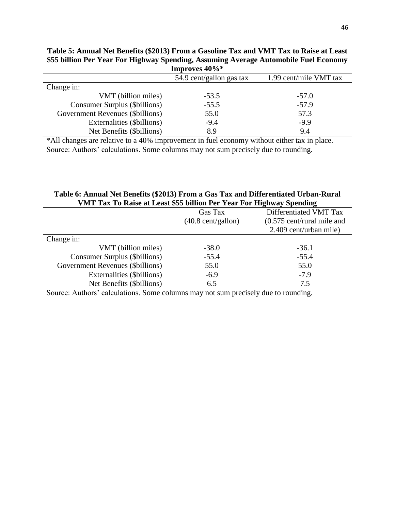| <b>IIIIIDITOVES 4070 °</b>       |                          |                        |  |
|----------------------------------|--------------------------|------------------------|--|
|                                  | 54.9 cent/gallon gas tax | 1.99 cent/mile VMT tax |  |
| Change in:                       |                          |                        |  |
| VMT (billion miles)              | $-53.5$                  | $-57.0$                |  |
| Consumer Surplus (\$billions)    | $-55.5$                  | $-57.9$                |  |
| Government Revenues (\$billions) | 55.0                     | 57.3                   |  |
| Externalities (\$billions)       | $-9.4$                   | $-9.9$                 |  |
| Net Benefits (\$billions)        | 8.9                      | 9.4                    |  |
|                                  |                          |                        |  |

**Table 5: Annual Net Benefits (\$2013) From a Gasoline Tax and VMT Tax to Raise at Least \$55 billion Per Year For Highway Spending, Assuming Average Automobile Fuel Economy**   $Im_{\text{max}}$  40%  $*$ 

\*All changes are relative to a 40% improvement in fuel economy without either tax in place. Source: Authors' calculations. Some columns may not sum precisely due to rounding.

# **Table 6: Annual Net Benefits (\$2013) From a Gas Tax and Differentiated Urban-Rural VMT Tax To Raise at Least \$55 billion Per Year For Highway Spending**

|                                  | Gas Tax                      | Differentiated VMT Tax       |
|----------------------------------|------------------------------|------------------------------|
|                                  | $(40.8 \text{ cent/gallon})$ | $(0.575$ cent/rural mile and |
|                                  |                              | 2.409 cent/urban mile)       |
| Change in:                       |                              |                              |
| VMT (billion miles)              | $-38.0$                      | $-36.1$                      |
| Consumer Surplus (\$billions)    | $-55.4$                      | $-55.4$                      |
| Government Revenues (\$billions) | 55.0                         | 55.0                         |
| Externalities (\$billions)       | $-6.9$                       | $-7.9$                       |
| Net Benefits (\$billions)        | 6.5                          | 7.5                          |

Source: Authors' calculations. Some columns may not sum precisely due to rounding.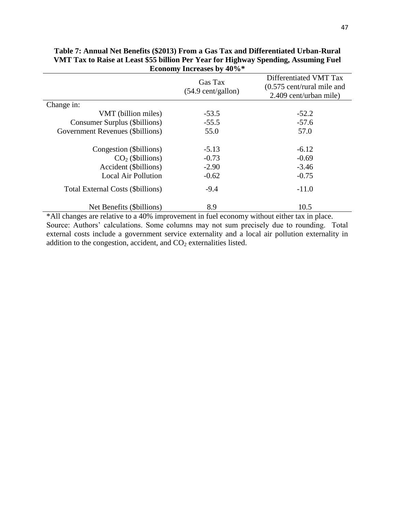|                                   | Gas Tax<br>$(54.9 \text{ cent/gallon})$ | Differentiated VMT Tax<br>$(0.575$ cent/rural mile and<br>2.409 cent/urban mile) |
|-----------------------------------|-----------------------------------------|----------------------------------------------------------------------------------|
| Change in:                        |                                         |                                                                                  |
| VMT (billion miles)               | $-53.5$                                 | $-52.2$                                                                          |
| Consumer Surplus (\$billions)     | $-55.5$                                 | $-57.6$                                                                          |
| Government Revenues (\$billions)  | 55.0                                    | 57.0                                                                             |
| Congestion (\$billions)           | $-5.13$                                 | $-6.12$                                                                          |
| $CO2$ (\$billions)                | $-0.73$                                 | $-0.69$                                                                          |
| Accident (\$billions)             | $-2.90$                                 | $-3.46$                                                                          |
| <b>Local Air Pollution</b>        | $-0.62$                                 | $-0.75$                                                                          |
| Total External Costs (\$billions) | $-9.4$                                  | $-11.0$                                                                          |
| Net Benefits (\$billions)         | 8.9                                     | 10.5                                                                             |

| Table 7: Annual Net Benefits (\$2013) From a Gas Tax and Differentiated Urban-Rural |
|-------------------------------------------------------------------------------------|
| VMT Tax to Raise at Least \$55 billion Per Year for Highway Spending, Assuming Fuel |
| Economy Increases by $40\%*$                                                        |

\*All changes are relative to a 40% improvement in fuel economy without either tax in place. Source: Authors' calculations. Some columns may not sum precisely due to rounding. Total external costs include a government service externality and a local air pollution externality in addition to the congestion, accident, and  $CO<sub>2</sub>$  externalities listed.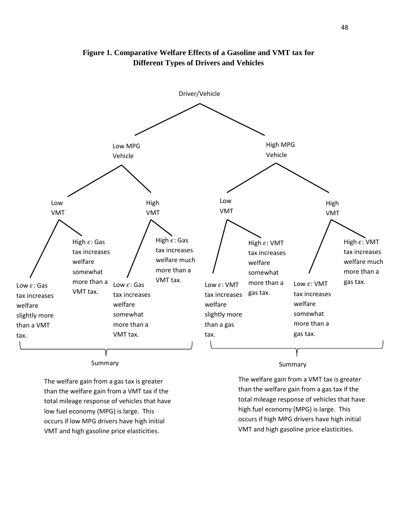

# **Figure 1. Comparative Welfare Effects of a Gasoline and VMT tax for Different Types of Drivers and Vehicles**

Summary Summary Summary Summary Summary Summary

The welfare gain from a gas tax is greater than the welfare gain from a VMT tax if the total mileage response of vehicles that have low fuel economy (MPG) is large. This occurs if low MPG drivers have high initial VMT and high gasoline price elasticities.

The welfare gain from a VMT tax is greater than the welfare gain from a gas tax if the total mileage response of vehicles that have high fuel economy (MPG) is large. This occurs if high MPG drivers have high initial VMT and high gasoline price elasticities.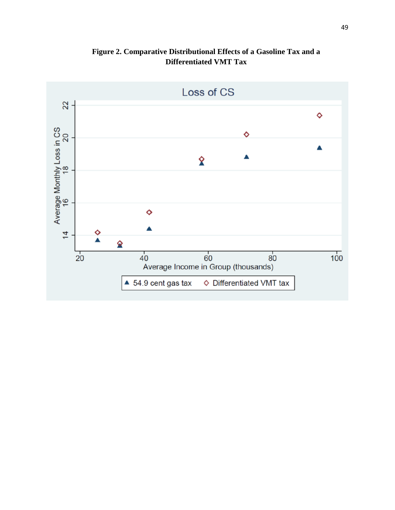

**Figure 2. Comparative Distributional Effects of a Gasoline Tax and a Differentiated VMT Tax**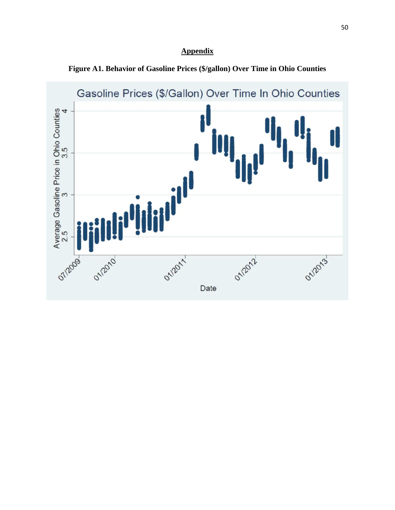# **Appendix**



**Figure A1. Behavior of Gasoline Prices (\$/gallon) Over Time in Ohio Counties**